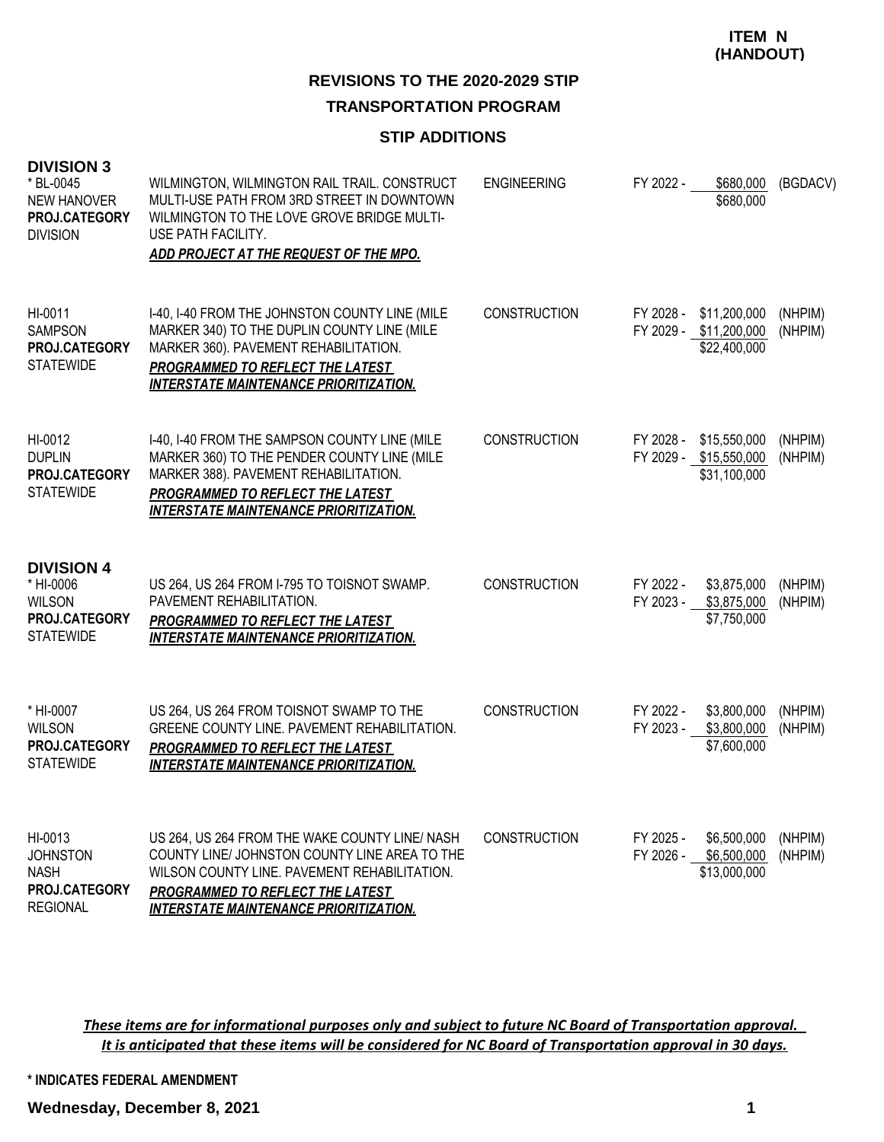# **REVISIONS TO THE 2020-2029 STIP**

## **TRANSPORTATION PROGRAM**

#### **STIP ADDITIONS**

| <b>DIVISION 3</b><br>* BL-0045<br><b>NEW HANOVER</b><br>PROJ.CATEGORY<br><b>DIVISION</b> | WILMINGTON, WILMINGTON RAIL TRAIL. CONSTRUCT<br>MULTI-USE PATH FROM 3RD STREET IN DOWNTOWN<br>WILMINGTON TO THE LOVE GROVE BRIDGE MULTI-<br>USE PATH FACILITY.<br>ADD PROJECT AT THE REQUEST OF THE MPO.                             | <b>ENGINEERING</b>  | FY 2022 -              | \$680,000<br>\$680,000                                 | (BGDACV)           |
|------------------------------------------------------------------------------------------|--------------------------------------------------------------------------------------------------------------------------------------------------------------------------------------------------------------------------------------|---------------------|------------------------|--------------------------------------------------------|--------------------|
| HI-0011<br><b>SAMPSON</b><br>PROJ.CATEGORY<br><b>STATEWIDE</b>                           | I-40, I-40 FROM THE JOHNSTON COUNTY LINE (MILE<br>MARKER 340) TO THE DUPLIN COUNTY LINE (MILE<br>MARKER 360). PAVEMENT REHABILITATION.<br>PROGRAMMED TO REFLECT THE LATEST<br><b>INTERSTATE MAINTENANCE PRIORITIZATION.</b>          | <b>CONSTRUCTION</b> | FY 2028 -              | \$11,200,000<br>FY 2029 - \$11,200,000<br>\$22,400,000 | (NHPIM)<br>(NHPIM) |
| HI-0012<br><b>DUPLIN</b><br>PROJ.CATEGORY<br><b>STATEWIDE</b>                            | I-40, I-40 FROM THE SAMPSON COUNTY LINE (MILE<br>MARKER 360) TO THE PENDER COUNTY LINE (MILE<br>MARKER 388). PAVEMENT REHABILITATION.<br>PROGRAMMED TO REFLECT THE LATEST<br><b>INTERSTATE MAINTENANCE PRIORITIZATION.</b>           | <b>CONSTRUCTION</b> | FY 2028 -              | \$15,550,000<br>FY 2029 - \$15,550,000<br>\$31,100,000 | (NHPIM)<br>(NHPIM) |
| <b>DIVISION 4</b><br>* HI-0006<br><b>WILSON</b><br>PROJ.CATEGORY<br><b>STATEWIDE</b>     | US 264, US 264 FROM I-795 TO TOISNOT SWAMP.<br>PAVEMENT REHABILITATION.<br>PROGRAMMED TO REFLECT THE LATEST<br><b>INTERSTATE MAINTENANCE PRIORITIZATION.</b>                                                                         | <b>CONSTRUCTION</b> | FY 2022 -              | \$3,875,000<br>FY 2023 - \$3,875,000<br>\$7,750,000    | (NHPIM)<br>(NHPIM) |
| * HI-0007<br><b>WILSON</b><br>PROJ.CATEGORY<br><b>STATEWIDE</b>                          | US 264, US 264 FROM TOISNOT SWAMP TO THE<br>GREENE COUNTY LINE. PAVEMENT REHABILITATION.<br>PROGRAMMED TO REFLECT THE LATEST<br><b>INTERSTATE MAINTENANCE PRIORITIZATION.</b>                                                        | <b>CONSTRUCTION</b> | FY 2022 -<br>FY 2023 - | \$3,800,000<br>\$3,800,000<br>\$7,600,000              | (NHPIM)<br>(NHPIM) |
| HI-0013<br><b>JOHNSTON</b><br><b>NASH</b><br>PROJ.CATEGORY<br><b>REGIONAL</b>            | US 264, US 264 FROM THE WAKE COUNTY LINE/ NASH<br>COUNTY LINE/ JOHNSTON COUNTY LINE AREA TO THE<br>WILSON COUNTY LINE. PAVEMENT REHABILITATION.<br>PROGRAMMED TO REFLECT THE LATEST<br><b>INTERSTATE MAINTENANCE PRIORITIZATION.</b> | <b>CONSTRUCTION</b> | FY 2025 -<br>FY 2026 - | \$6,500,000<br>\$6,500,000<br>\$13,000,000             | (NHPIM)<br>(NHPIM) |

*These items are for informational purposes only and subject to future NC Board of Transportation approval. It is anticipated that these items will be considered for NC Board of Transportation approval in 30 days.*

**\* INDICATES FEDERAL AMENDMENT**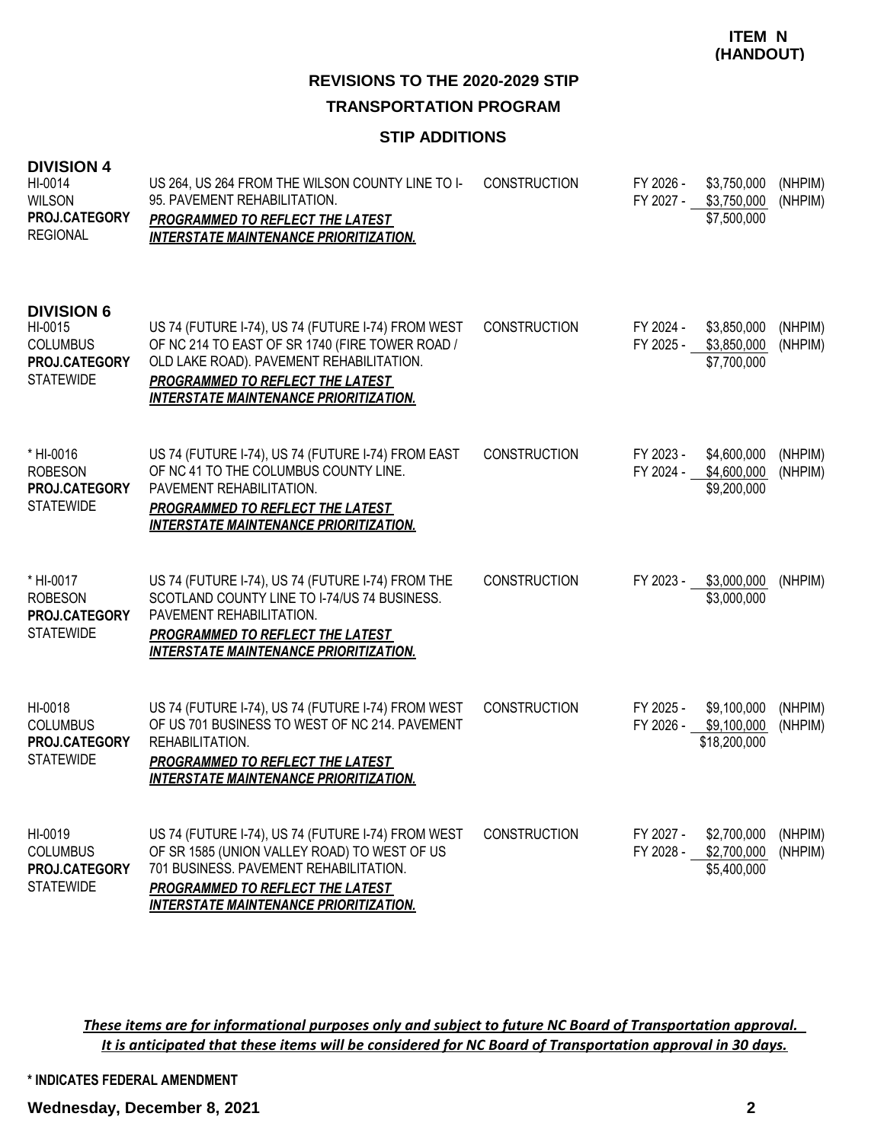## **REVISIONS TO THE 2020-2029 STIP TRANSPORTATION PROGRAM**

#### **STIP ADDITIONS**

| <b>DIVISION 4</b><br>HI-0014<br><b>WILSON</b><br>PROJ.CATEGORY<br><b>REGIONAL</b>    | US 264, US 264 FROM THE WILSON COUNTY LINE TO I-<br>95. PAVEMENT REHABILITATION.<br><b>PROGRAMMED TO REFLECT THE LATEST</b><br><b>INTERSTATE MAINTENANCE PRIORITIZATION.</b>                                                             | <b>CONSTRUCTION</b> | FY 2026 -<br>FY 2027 - | \$3,750,000<br>\$3,750,000<br>\$7,500,000  | (NHPIM)<br>(NHPIM) |
|--------------------------------------------------------------------------------------|------------------------------------------------------------------------------------------------------------------------------------------------------------------------------------------------------------------------------------------|---------------------|------------------------|--------------------------------------------|--------------------|
| <b>DIVISION 6</b><br>HI-0015<br><b>COLUMBUS</b><br>PROJ.CATEGORY<br><b>STATEWIDE</b> | US 74 (FUTURE I-74), US 74 (FUTURE I-74) FROM WEST<br>OF NC 214 TO EAST OF SR 1740 (FIRE TOWER ROAD /<br>OLD LAKE ROAD). PAVEMENT REHABILITATION.<br>PROGRAMMED TO REFLECT THE LATEST<br><b>INTERSTATE MAINTENANCE PRIORITIZATION.</b>   | <b>CONSTRUCTION</b> | FY 2024 -<br>FY 2025 - | \$3,850,000<br>\$3,850,000<br>\$7,700,000  | (NHPIM)<br>(NHPIM) |
| * HI-0016<br><b>ROBESON</b><br>PROJ.CATEGORY<br><b>STATEWIDE</b>                     | US 74 (FUTURE I-74), US 74 (FUTURE I-74) FROM EAST<br>OF NC 41 TO THE COLUMBUS COUNTY LINE.<br>PAVEMENT REHABILITATION.<br><b>PROGRAMMED TO REFLECT THE LATEST</b><br><b>INTERSTATE MAINTENANCE PRIORITIZATION.</b>                      | <b>CONSTRUCTION</b> | FY 2023 -<br>FY 2024 - | \$4,600,000<br>\$4,600,000<br>\$9,200,000  | (NHPIM)<br>(NHPIM) |
| * HI-0017<br><b>ROBESON</b><br>PROJ.CATEGORY<br><b>STATEWIDE</b>                     | US 74 (FUTURE I-74), US 74 (FUTURE I-74) FROM THE<br>SCOTLAND COUNTY LINE TO I-74/US 74 BUSINESS.<br>PAVEMENT REHABILITATION.<br>PROGRAMMED TO REFLECT THE LATEST<br><b>INTERSTATE MAINTENANCE PRIORITIZATION.</b>                       | <b>CONSTRUCTION</b> | FY 2023 -              | \$3,000,000<br>\$3,000,000                 | (NHPIM)            |
| HI-0018<br><b>COLUMBUS</b><br>PROJ.CATEGORY<br><b>STATEWIDE</b>                      | US 74 (FUTURE I-74), US 74 (FUTURE I-74) FROM WEST<br>OF US 701 BUSINESS TO WEST OF NC 214. PAVEMENT<br>REHABILITATION.<br><b>PROGRAMMED TO REFLECT THE LATEST</b><br><b>INTERSTATE MAINTENANCE PRIORITIZATION.</b>                      | <b>CONSTRUCTION</b> | FY 2025 -<br>FY 2026 - | \$9,100,000<br>\$9,100,000<br>\$18,200,000 | (NHPIM)<br>(NHPIM) |
| HI-0019<br><b>COLUMBUS</b><br>PROJ.CATEGORY<br><b>STATEWIDE</b>                      | US 74 (FUTURE I-74), US 74 (FUTURE I-74) FROM WEST<br>OF SR 1585 (UNION VALLEY ROAD) TO WEST OF US<br>701 BUSINESS, PAVEMENT REHABILITATION.<br><b>PROGRAMMED TO REFLECT THE LATEST</b><br><b>INTERSTATE MAINTENANCE PRIORITIZATION.</b> | <b>CONSTRUCTION</b> | FY 2027 -<br>FY 2028 - | \$2,700,000<br>\$2,700,000<br>\$5,400,000  | (NHPIM)<br>(NHPIM) |

*These items are for informational purposes only and subject to future NC Board of Transportation approval. It is anticipated that these items will be considered for NC Board of Transportation approval in 30 days.*

**\* INDICATES FEDERAL AMENDMENT**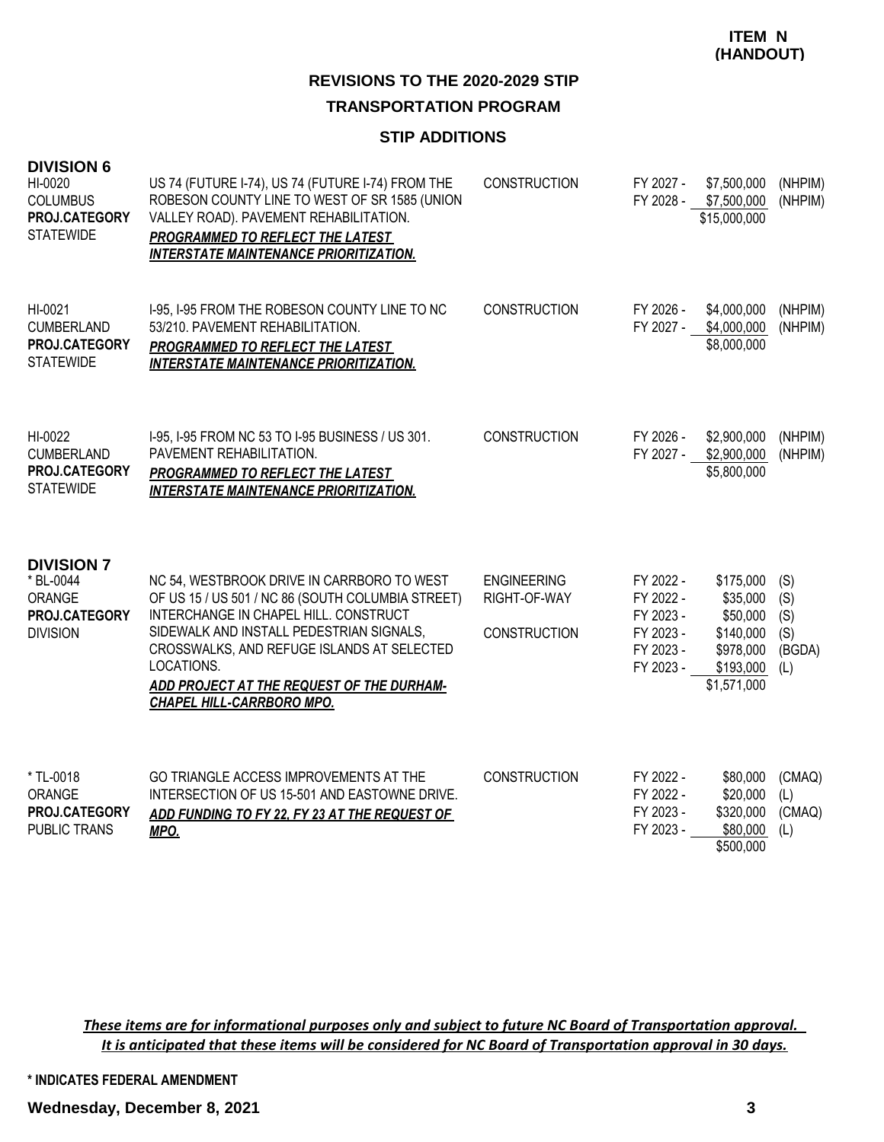## **REVISIONS TO THE 2020-2029 STIP TRANSPORTATION PROGRAM**

#### **STIP ADDITIONS**

| <b>DIVISION 6</b><br>HI-0020<br><b>COLUMBUS</b><br>PROJ.CATEGORY<br><b>STATEWIDE</b> | US 74 (FUTURE I-74), US 74 (FUTURE I-74) FROM THE<br>ROBESON COUNTY LINE TO WEST OF SR 1585 (UNION<br>VALLEY ROAD). PAVEMENT REHABILITATION.<br>PROGRAMMED TO REFLECT THE LATEST<br><b>INTERSTATE MAINTENANCE PRIORITIZATION.</b>                                                                                          | <b>CONSTRUCTION</b>                                       | FY 2027 -                                                                  | \$7,500,000<br>FY 2028 - \$7,500,000<br>\$15,000,000                                    | (NHPIM)<br>(NHPIM)                        |
|--------------------------------------------------------------------------------------|----------------------------------------------------------------------------------------------------------------------------------------------------------------------------------------------------------------------------------------------------------------------------------------------------------------------------|-----------------------------------------------------------|----------------------------------------------------------------------------|-----------------------------------------------------------------------------------------|-------------------------------------------|
| HI-0021<br>CUMBERLAND<br>PROJ.CATEGORY<br><b>STATEWIDE</b>                           | 1-95, 1-95 FROM THE ROBESON COUNTY LINE TO NC<br>53/210. PAVEMENT REHABILITATION.<br>PROGRAMMED TO REFLECT THE LATEST<br><b>INTERSTATE MAINTENANCE PRIORITIZATION.</b>                                                                                                                                                     | <b>CONSTRUCTION</b>                                       | FY 2026 -<br>FY 2027 -                                                     | \$4,000,000<br>\$4,000,000<br>\$8,000,000                                               | (NHPIM)<br>(NHPIM)                        |
| HI-0022<br><b>CUMBERLAND</b><br>PROJ.CATEGORY<br><b>STATEWIDE</b>                    | I-95, I-95 FROM NC 53 TO I-95 BUSINESS / US 301.<br>PAVEMENT REHABILITATION.<br>PROGRAMMED TO REFLECT THE LATEST<br><b>INTERSTATE MAINTENANCE PRIORITIZATION.</b>                                                                                                                                                          | <b>CONSTRUCTION</b>                                       | FY 2026 -<br>FY 2027 -                                                     | \$2,900,000<br>\$2,900,000<br>\$5,800,000                                               | (NHPIM)<br>(NHPIM)                        |
| <b>DIVISION 7</b><br>* BL-0044<br>ORANGE<br>PROJ.CATEGORY<br><b>DIVISION</b>         | NC 54, WESTBROOK DRIVE IN CARRBORO TO WEST<br>OF US 15 / US 501 / NC 86 (SOUTH COLUMBIA STREET)<br>INTERCHANGE IN CHAPEL HILL. CONSTRUCT<br>SIDEWALK AND INSTALL PEDESTRIAN SIGNALS,<br>CROSSWALKS, AND REFUGE ISLANDS AT SELECTED<br>LOCATIONS.<br>ADD PROJECT AT THE REQUEST OF THE DURHAM-<br>CHAPEL HILL-CARRBORO MPO. | <b>ENGINEERING</b><br>RIGHT-OF-WAY<br><b>CONSTRUCTION</b> | FY 2022 -<br>FY 2022 -<br>FY 2023 -<br>FY 2023 -<br>FY 2023 -<br>FY 2023 - | \$175,000<br>\$35,000<br>\$50,000<br>\$140,000<br>\$978,000<br>\$193,000<br>\$1,571,000 | (S)<br>(S)<br>(S)<br>(S)<br>(BGDA)<br>(L) |
| * TL-0018<br>ORANGE<br>PROJ.CATEGORY<br>PUBLIC TRANS                                 | GO TRIANGLE ACCESS IMPROVEMENTS AT THE<br>INTERSECTION OF US 15-501 AND EASTOWNE DRIVE.<br>ADD FUNDING TO FY 22, FY 23 AT THE REQUEST OF<br>MPO.                                                                                                                                                                           | <b>CONSTRUCTION</b>                                       | FY 2022 -<br>FY 2022 -<br>FY 2023 -<br>FY 2023 -                           | \$80,000<br>\$20,000<br>\$320,000<br>\$80,000<br>\$500,000                              | (CMAQ)<br>(L)<br>(CMAQ)<br>(L)            |

*These items are for informational purposes only and subject to future NC Board of Transportation approval. It is anticipated that these items will be considered for NC Board of Transportation approval in 30 days.*

**\* INDICATES FEDERAL AMENDMENT**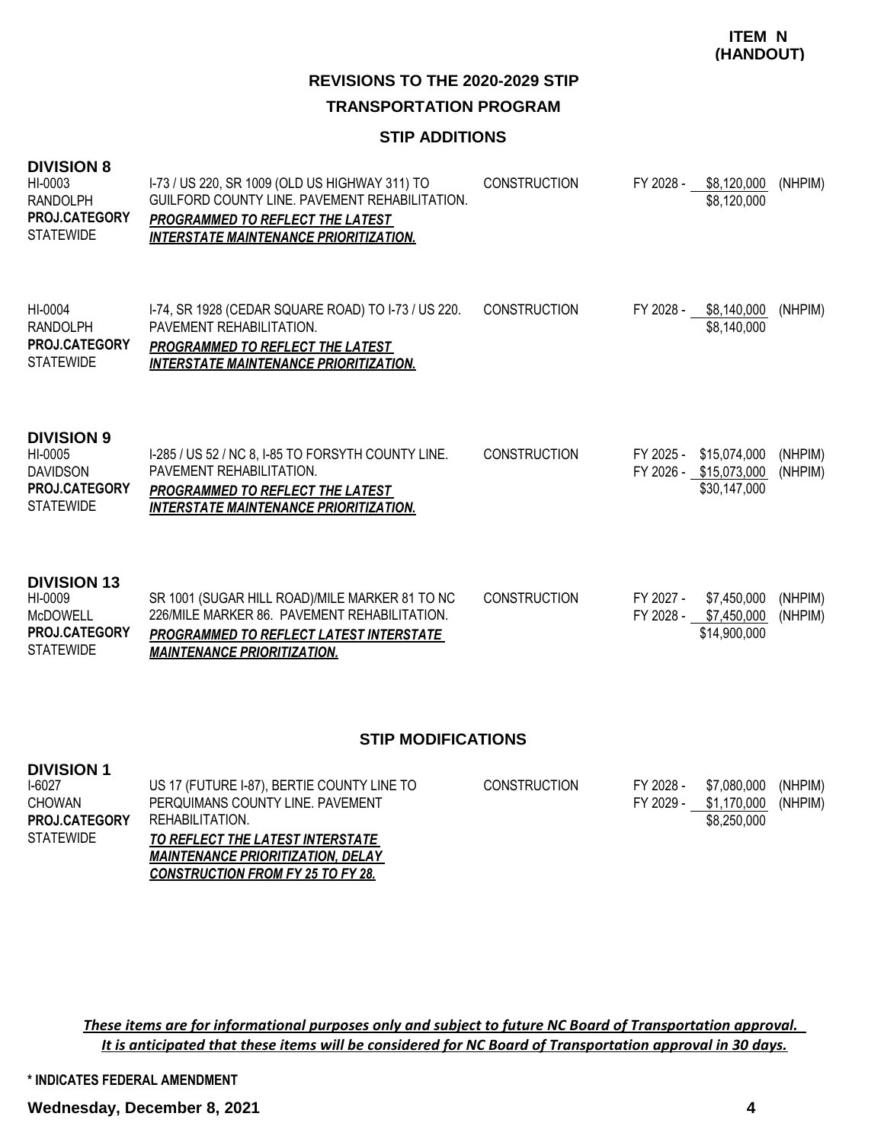## **REVISIONS TO THE 2020-2029 STIP TRANSPORTATION PROGRAM**

#### **STIP ADDITIONS**

| <b>DIVISION 8</b><br>HI-0003<br><b>RANDOLPH</b><br>PROJ.CATEGORY<br><b>STATEWIDE</b>         | I-73 / US 220, SR 1009 (OLD US HIGHWAY 311) TO<br>GUILFORD COUNTY LINE, PAVEMENT REHABILITATION.<br><b>PROGRAMMED TO REFLECT THE LATEST</b><br><b>INTERSTATE MAINTENANCE PRIORITIZATION.</b> | <b>CONSTRUCTION</b> | FY 2028 -              | \$8,120,000<br>\$8,120,000                             | (NHPIM)            |
|----------------------------------------------------------------------------------------------|----------------------------------------------------------------------------------------------------------------------------------------------------------------------------------------------|---------------------|------------------------|--------------------------------------------------------|--------------------|
| HI-0004<br><b>RANDOLPH</b><br><b>PROJ.CATEGORY</b><br><b>STATEWIDE</b>                       | 1-74, SR 1928 (CEDAR SQUARE ROAD) TO 1-73 / US 220.<br>PAVEMENT REHABILITATION.<br>PROGRAMMED TO REFLECT THE LATEST<br><b>INTERSTATE MAINTENANCE PRIORITIZATION.</b>                         | <b>CONSTRUCTION</b> | FY 2028 -              | \$8,140,000<br>\$8,140,000                             | (NHPIM)            |
| <b>DIVISION 9</b><br>HI-0005<br><b>DAVIDSON</b><br><b>PROJ.CATEGORY</b><br><b>STATEWIDE</b>  | I-285 / US 52 / NC 8, I-85 TO FORSYTH COUNTY LINE.<br>PAVEMENT REHABILITATION.<br><b>PROGRAMMED TO REFLECT THE LATEST</b><br><b>INTERSTATE MAINTENANCE PRIORITIZATION.</b>                   | <b>CONSTRUCTION</b> | FY 2025 -              | \$15,074,000<br>FY 2026 - \$15,073,000<br>\$30,147,000 | (NHPIM)<br>(NHPIM) |
| <b>DIVISION 13</b><br>HI-0009<br><b>McDOWELL</b><br><b>PROJ.CATEGORY</b><br><b>STATEWIDE</b> | SR 1001 (SUGAR HILL ROAD)/MILE MARKER 81 TO NC<br>226/MILE MARKER 86. PAVEMENT REHABILITATION.<br>PROGRAMMED TO REFLECT LATEST INTERSTATE<br><b>MAINTENANCE PRIORITIZATION.</b>              | <b>CONSTRUCTION</b> | FY 2027 -<br>FY 2028 - | \$7,450,000<br>\$7,450,000<br>\$14,900,000             | (NHPIM)<br>(NHPIM) |

#### **STIP MODIFICATIONS**

| <b>DIVISION 1</b>    |                                            |                     |           |             |         |
|----------------------|--------------------------------------------|---------------------|-----------|-------------|---------|
| I-6027               | US 17 (FUTURE I-87), BERTIE COUNTY LINE TO | <b>CONSTRUCTION</b> | FY 2028 - | \$7.080.000 | (NHPIM) |
| <b>CHOWAN</b>        | PERQUIMANS COUNTY LINE. PAVEMENT           |                     | FY 2029 - | \$1,170,000 | (NHPIM) |
| <b>PROJ.CATEGORY</b> | REHABILITATION.                            |                     |           | \$8,250,000 |         |
| <b>STATEWIDE</b>     | TO REFLECT THE LATEST INTERSTATE           |                     |           |             |         |
|                      | <b>MAINTENANCE PRIORITIZATION, DELAY</b>   |                     |           |             |         |
|                      | <b>CONSTRUCTION FROM FY 25 TO FY 28.</b>   |                     |           |             |         |

*These items are for informational purposes only and subject to future NC Board of Transportation approval. It is anticipated that these items will be considered for NC Board of Transportation approval in 30 days.*

**\* INDICATES FEDERAL AMENDMENT**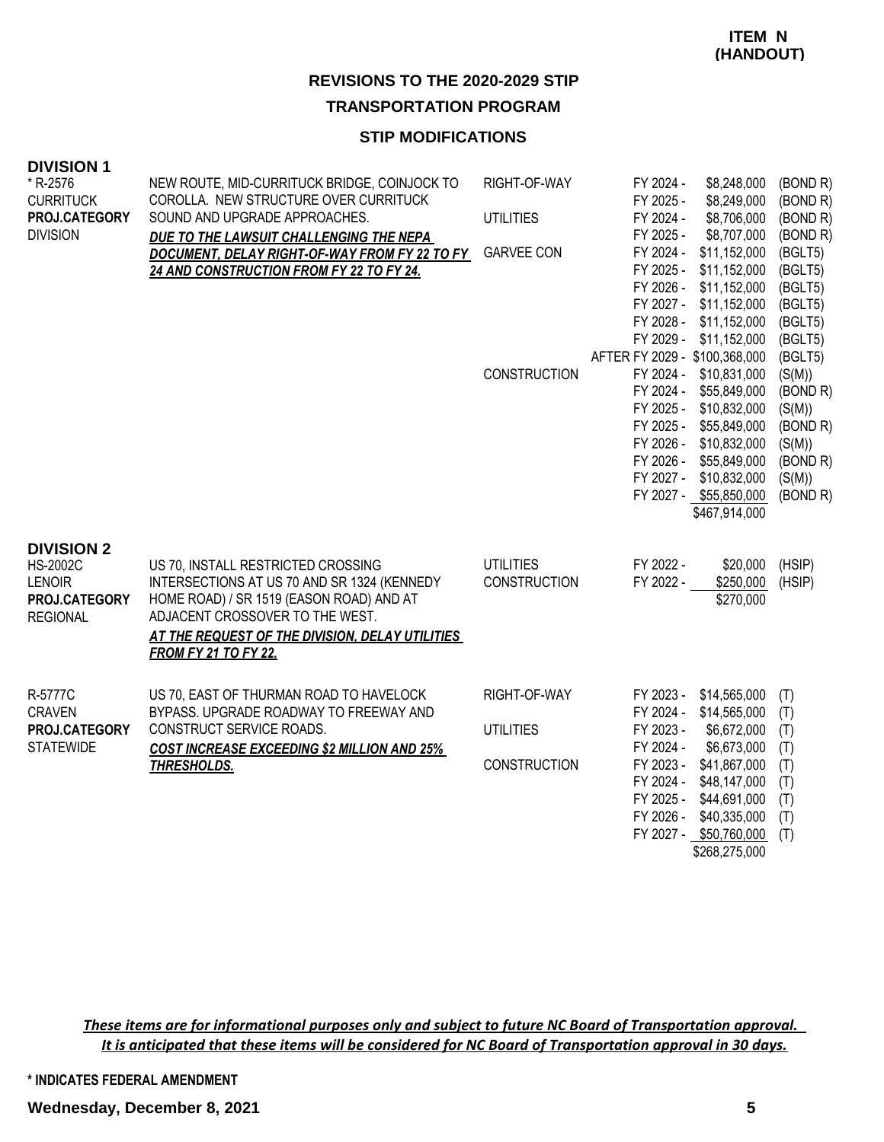## **REVISIONS TO THE 2020-2029 STIP**

**TRANSPORTATION PROGRAM**

### **STIP MODIFICATIONS**

| <b>DIVISION 1</b><br>* R-2576<br><b>CURRITUCK</b><br>PROJ.CATEGORY<br><b>DIVISION</b>     | NEW ROUTE, MID-CURRITUCK BRIDGE, COINJOCK TO<br>COROLLA. NEW STRUCTURE OVER CURRITUCK<br>SOUND AND UPGRADE APPROACHES.<br>DUE TO THE LAWSUIT CHALLENGING THE NEPA<br>DOCUMENT, DELAY RIGHT-OF-WAY FROM FY 22 TO FY<br>24 AND CONSTRUCTION FROM FY 22 TO FY 24. | RIGHT-OF-WAY<br><b>UTILITIES</b><br><b>GARVEE CON</b>   | FY 2024 -<br>\$8,248,000<br>FY 2025 -<br>\$8,249,000<br>\$8,706,000<br>FY 2024 -<br>FY 2025 -<br>\$8,707,000<br>FY 2024 -<br>\$11,152,000<br>FY 2025 -<br>\$11,152,000<br>FY 2026 - \$11,152,000<br>FY 2027 - \$11,152,000<br>FY 2028 - \$11,152,000<br>FY 2029 - \$11,152,000 | (BOND R)<br>(BOND R)<br>(BOND R)<br>(BOND R)<br>(BGLT5)<br>(BGLT5)<br>(BGLT5)<br>(BGLT5)<br>(BGLT5)<br>(BGLT5) |
|-------------------------------------------------------------------------------------------|----------------------------------------------------------------------------------------------------------------------------------------------------------------------------------------------------------------------------------------------------------------|---------------------------------------------------------|--------------------------------------------------------------------------------------------------------------------------------------------------------------------------------------------------------------------------------------------------------------------------------|----------------------------------------------------------------------------------------------------------------|
|                                                                                           |                                                                                                                                                                                                                                                                | <b>CONSTRUCTION</b>                                     | AFTER FY 2029 - \$100,368,000<br>FY 2024 - \$10,831,000<br>FY 2024 -<br>\$55,849,000<br>FY 2025 - \$10,832,000<br>FY 2025 - \$55,849,000<br>FY 2026 - \$10,832,000<br>FY 2026 - \$55,849,000<br>FY 2027 - \$10,832,000<br>FY 2027 - \$55,850,000<br>\$467,914,000              | (BGLT5)<br>(S(M))<br>(BOND R)<br>(S(M))<br>(BOND R)<br>(S(M))<br>(BOND R)<br>(S(M))<br>(BOND R)                |
| <b>DIVISION 2</b><br><b>HS-2002C</b><br><b>LENOIR</b><br>PROJ.CATEGORY<br><b>REGIONAL</b> | US 70, INSTALL RESTRICTED CROSSING<br>INTERSECTIONS AT US 70 AND SR 1324 (KENNEDY<br>HOME ROAD) / SR 1519 (EASON ROAD) AND AT<br>ADJACENT CROSSOVER TO THE WEST.<br>AT THE REQUEST OF THE DIVISION, DELAY UTILITIES<br><b>FROM FY 21 TO FY 22.</b>             | <b>UTILITIES</b><br>CONSTRUCTION                        | FY 2022 -<br>\$20,000<br>FY 2022 -<br>\$250,000<br>\$270,000                                                                                                                                                                                                                   | (HSIP)<br>(HSIP)                                                                                               |
| R-5777C<br><b>CRAVEN</b><br>PROJ.CATEGORY<br><b>STATEWIDE</b>                             | US 70, EAST OF THURMAN ROAD TO HAVELOCK<br>BYPASS. UPGRADE ROADWAY TO FREEWAY AND<br>CONSTRUCT SERVICE ROADS.<br><b>COST INCREASE EXCEEDING \$2 MILLION AND 25%</b><br><b>THRESHOLDS.</b>                                                                      | RIGHT-OF-WAY<br><b>UTILITIES</b><br><b>CONSTRUCTION</b> | FY 2023 -<br>\$14,565,000<br>FY 2024 - \$14,565,000<br>FY 2023 -<br>\$6,672,000<br>FY 2024 -<br>\$6,673,000<br>FY 2023 - \$41,867,000<br>FY 2024 -<br>\$48,147,000<br>FY 2025 -<br>\$44,691,000<br>FY 2026 -<br>\$40,335,000<br>FY 2027 - \$50,760,000<br>\$268,275,000        | (T)<br>(T)<br>(T)<br>(T)<br>(T)<br>(T)<br>(T)<br>(T)<br>(T)                                                    |

*These items are for informational purposes only and subject to future NC Board of Transportation approval. It is anticipated that these items will be considered for NC Board of Transportation approval in 30 days.*

**\* INDICATES FEDERAL AMENDMENT**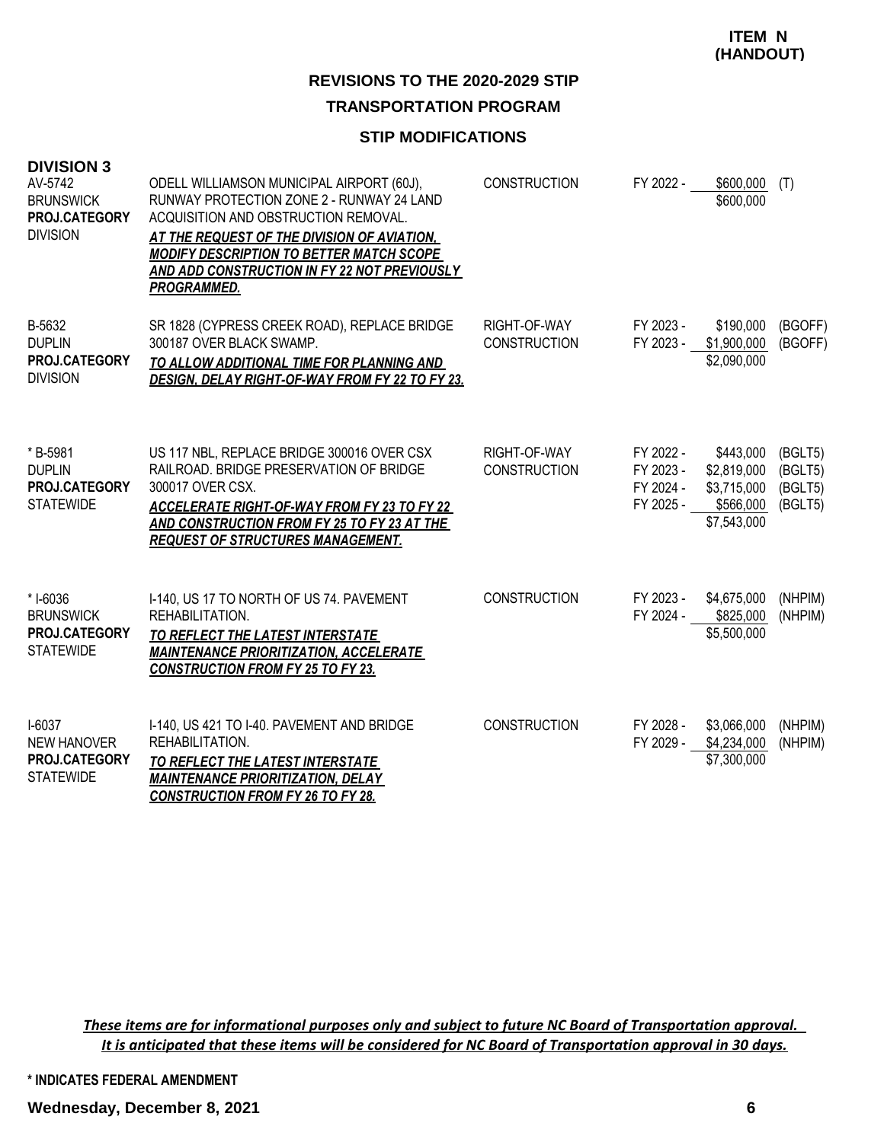# **REVISIONS TO THE 2020-2029 STIP**

## **TRANSPORTATION PROGRAM**

#### **STIP MODIFICATIONS**

| <b>DIVISION 3</b><br>AV-5742<br><b>BRUNSWICK</b><br>PROJ.CATEGORY<br><b>DIVISION</b> | ODELL WILLIAMSON MUNICIPAL AIRPORT (60J),<br>RUNWAY PROTECTION ZONE 2 - RUNWAY 24 LAND<br>ACQUISITION AND OBSTRUCTION REMOVAL.<br>AT THE REQUEST OF THE DIVISION OF AVIATION,<br><b>MODIFY DESCRIPTION TO BETTER MATCH SCOPE</b><br><b>AND ADD CONSTRUCTION IN FY 22 NOT PREVIOUSLY</b><br><b>PROGRAMMED.</b> | <b>CONSTRUCTION</b>                 | FY 2022 -                                        | \$600,000<br>\$600,000                                              | (T)                                      |
|--------------------------------------------------------------------------------------|---------------------------------------------------------------------------------------------------------------------------------------------------------------------------------------------------------------------------------------------------------------------------------------------------------------|-------------------------------------|--------------------------------------------------|---------------------------------------------------------------------|------------------------------------------|
| B-5632<br><b>DUPLIN</b><br>PROJ.CATEGORY<br><b>DIVISION</b>                          | SR 1828 (CYPRESS CREEK ROAD), REPLACE BRIDGE<br>300187 OVER BLACK SWAMP.<br>TO ALLOW ADDITIONAL TIME FOR PLANNING AND<br>DESIGN, DELAY RIGHT-OF-WAY FROM FY 22 TO FY 23.                                                                                                                                      | RIGHT-OF-WAY<br><b>CONSTRUCTION</b> | FY 2023 -<br>FY 2023 - \$1,900,000               | \$190,000<br>\$2,090,000                                            | (BGOFF)<br>(BGOFF)                       |
| * B-5981<br><b>DUPLIN</b><br>PROJ.CATEGORY<br><b>STATEWIDE</b>                       | US 117 NBL, REPLACE BRIDGE 300016 OVER CSX<br>RAILROAD, BRIDGE PRESERVATION OF BRIDGE<br>300017 OVER CSX.<br><b>ACCELERATE RIGHT-OF-WAY FROM FY 23 TO FY 22</b><br>AND CONSTRUCTION FROM FY 25 TO FY 23 AT THE<br><b>REQUEST OF STRUCTURES MANAGEMENT.</b>                                                    | RIGHT-OF-WAY<br><b>CONSTRUCTION</b> | FY 2022 -<br>FY 2023 -<br>FY 2024 -<br>FY 2025 - | \$443,000<br>\$2,819,000<br>\$3,715,000<br>\$566,000<br>\$7,543,000 | (BGLT5)<br>(BGLT5)<br>(BGLT5)<br>(BGLT5) |
| * I-6036<br><b>BRUNSWICK</b><br>PROJ.CATEGORY<br><b>STATEWIDE</b>                    | I-140, US 17 TO NORTH OF US 74. PAVEMENT<br>REHABILITATION.<br>TO REFLECT THE LATEST INTERSTATE<br><b>MAINTENANCE PRIORITIZATION, ACCELERATE</b><br><b>CONSTRUCTION FROM FY 25 TO FY 23.</b>                                                                                                                  | <b>CONSTRUCTION</b>                 | FY 2023 -                                        | \$4,675,000<br>FY 2024 - \$825,000<br>\$5,500,000                   | (NHPIM)<br>(NHPIM)                       |
| $I-6037$<br><b>NEW HANOVER</b><br>PROJ.CATEGORY<br><b>STATEWIDE</b>                  | I-140, US 421 TO I-40. PAVEMENT AND BRIDGE<br>REHABILITATION.<br>TO REFLECT THE LATEST INTERSTATE<br><b>MAINTENANCE PRIORITIZATION. DELAY</b><br><b>CONSTRUCTION FROM FY 26 TO FY 28.</b>                                                                                                                     | <b>CONSTRUCTION</b>                 | FY 2028 -<br>FY 2029 -                           | \$3,066,000<br>\$4,234,000<br>\$7,300,000                           | (NHPIM)<br>(NHPIM)                       |

*These items are for informational purposes only and subject to future NC Board of Transportation approval. It is anticipated that these items will be considered for NC Board of Transportation approval in 30 days.*

**\* INDICATES FEDERAL AMENDMENT**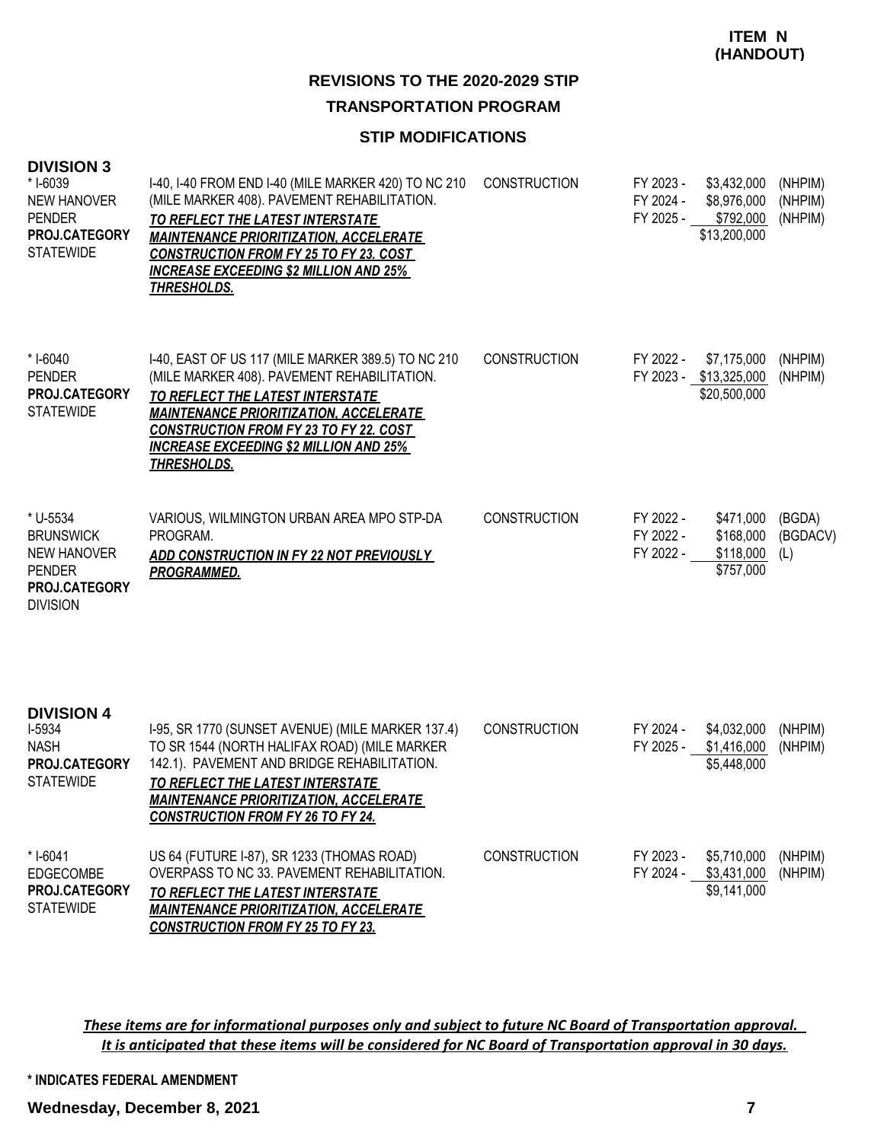#### **STIP MODIFICATIONS**

| <b>DIVISION 3</b><br>*1-6039<br><b>NEW HANOVER</b><br><b>PENDER</b><br>PROJ.CATEGORY<br><b>STATEWIDE</b>       | I-40, I-40 FROM END I-40 (MILE MARKER 420) TO NC 210<br>(MILE MARKER 408). PAVEMENT REHABILITATION.<br>TO REFLECT THE LATEST INTERSTATE<br><b>MAINTENANCE PRIORITIZATION, ACCELERATE</b><br><b>CONSTRUCTION FROM FY 25 TO FY 23. COST</b><br><b>INCREASE EXCEEDING \$2 MILLION AND 25%</b><br><b>THRESHOLDS.</b> | <b>CONSTRUCTION</b> | FY 2023 -<br>FY 2024 -<br>FY 2025 - | \$3,432,000<br>\$8,976,000<br>\$792,000<br>\$13,200,000 | (NHPIM)<br>(NHPIM)<br>(NHPIM) |
|----------------------------------------------------------------------------------------------------------------|------------------------------------------------------------------------------------------------------------------------------------------------------------------------------------------------------------------------------------------------------------------------------------------------------------------|---------------------|-------------------------------------|---------------------------------------------------------|-------------------------------|
| * I-6040<br><b>PENDER</b><br>PROJ.CATEGORY<br><b>STATEWIDE</b>                                                 | I-40, EAST OF US 117 (MILE MARKER 389.5) TO NC 210<br>(MILE MARKER 408). PAVEMENT REHABILITATION.<br>TO REFLECT THE LATEST INTERSTATE<br><b>MAINTENANCE PRIORITIZATION, ACCELERATE</b><br><b>CONSTRUCTION FROM FY 23 TO FY 22. COST</b><br><b>INCREASE EXCEEDING \$2 MILLION AND 25%</b><br><b>THRESHOLDS.</b>   | <b>CONSTRUCTION</b> | FY 2022 -                           | \$7,175,000<br>FY 2023 - \$13,325,000<br>\$20,500,000   | (NHPIM)<br>(NHPIM)            |
| * U-5534<br><b>BRUNSWICK</b><br><b>NEW HANOVER</b><br><b>PENDER</b><br><b>PROJ.CATEGORY</b><br><b>DIVISION</b> | VARIOUS, WILMINGTON URBAN AREA MPO STP-DA<br>PROGRAM.<br>ADD CONSTRUCTION IN FY 22 NOT PREVIOUSLY<br><b>PROGRAMMED.</b>                                                                                                                                                                                          | <b>CONSTRUCTION</b> | FY 2022 -<br>FY 2022 -<br>FY 2022 - | \$471,000<br>\$168,000<br>\$118,000<br>\$757,000        | (BGDA)<br>(BGDACV)<br>(L)     |
| <b>DIVISION 4</b><br>I-5934<br><b>NASH</b><br><b>PROJ.CATEGORY</b><br><b>STATEWIDE</b>                         | I-95, SR 1770 (SUNSET AVENUE) (MILE MARKER 137.4)<br>TO SR 1544 (NORTH HALIFAX ROAD) (MILE MARKER<br>142.1). PAVEMENT AND BRIDGE REHABILITATION.<br>TO REFLECT THE LATEST INTERSTATE<br><i><b>MAINTENANCE PRIORITIZATION. ACCELERATE</b></i><br><b>CONSTRUCTION FROM FY 26 TO FY 24.</b>                         | <b>CONSTRUCTION</b> | FY 2024 -<br>FY 2025 -              | \$4,032,000<br>\$1,416,000<br>\$5,448,000               | (NHPIM)<br>(NHPIM)            |
| * I-6041<br><b>EDGECOMBE</b><br><b>PROJ.CATEGORY</b><br><b>STATEWIDE</b>                                       | US 64 (FUTURE I-87), SR 1233 (THOMAS ROAD)<br>OVERPASS TO NC 33. PAVEMENT REHABILITATION.<br><b>TO REFLECT THE LATEST INTERSTATE</b><br><b>MAINTENANCE PRIORITIZATION, ACCELERATE</b><br><b>CONSTRUCTION FROM FY 25 TO FY 23.</b>                                                                                | <b>CONSTRUCTION</b> | FY 2023 -<br>FY 2024 -              | \$5,710,000<br>\$3,431,000<br>\$9,141,000               | (NHPIM)<br>(NHPIM)            |

*These items are for informational purposes only and subject to future NC Board of Transportation approval. It is anticipated that these items will be considered for NC Board of Transportation approval in 30 days.*

**\* INDICATES FEDERAL AMENDMENT**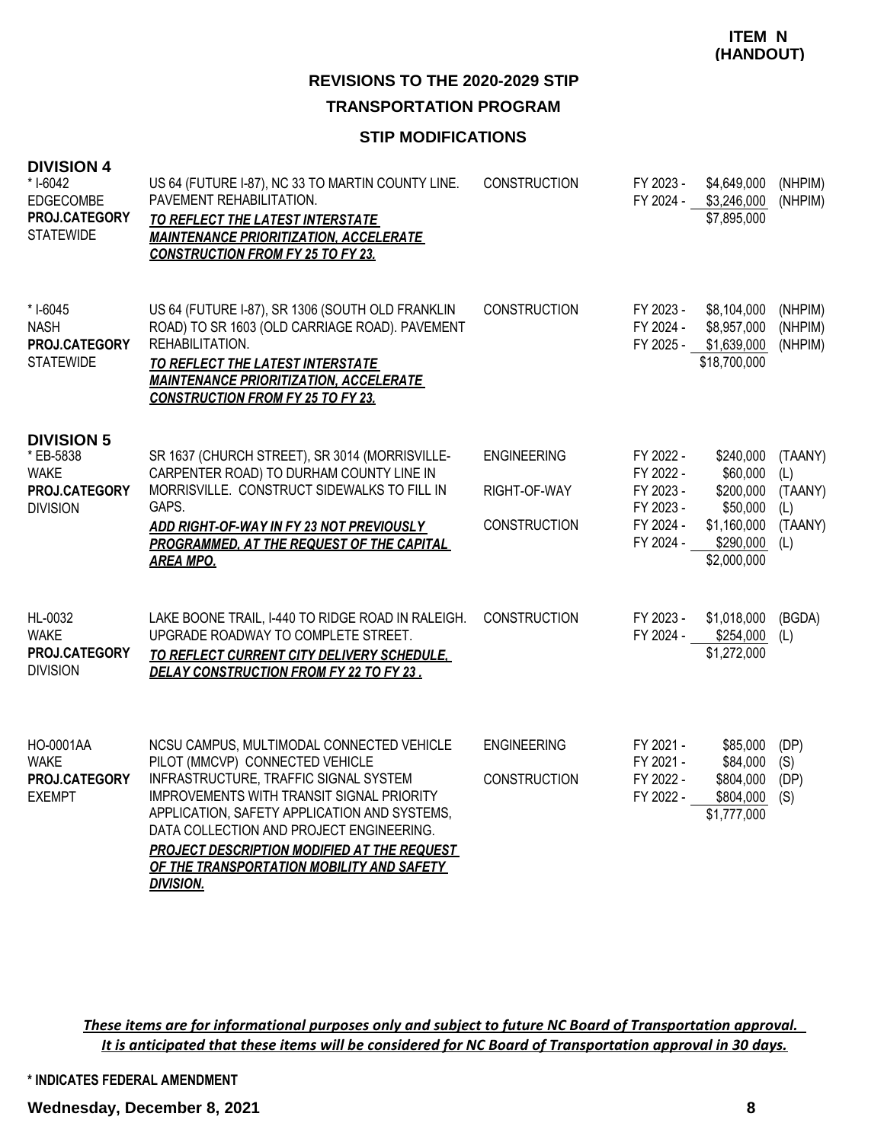#### **STIP MODIFICATIONS**

| <b>DIVISION 4</b><br>* I-6042<br>EDGECOMBE<br>PROJ.CATEGORY<br><b>STATEWIDE</b>   | US 64 (FUTURE I-87), NC 33 TO MARTIN COUNTY LINE.<br>PAVEMENT REHABILITATION.<br>TO REFLECT THE LATEST INTERSTATE<br><b>MAINTENANCE PRIORITIZATION, ACCELERATE</b><br><b>CONSTRUCTION FROM FY 25 TO FY 23.</b>                                                                                                                                                                 | CONSTRUCTION                                              | FY 2023 -<br>FY 2024 -                                                     | \$4,649,000<br>\$3,246,000<br>\$7,895,000                                                      | (NHPIM)<br>(NHPIM)                          |
|-----------------------------------------------------------------------------------|--------------------------------------------------------------------------------------------------------------------------------------------------------------------------------------------------------------------------------------------------------------------------------------------------------------------------------------------------------------------------------|-----------------------------------------------------------|----------------------------------------------------------------------------|------------------------------------------------------------------------------------------------|---------------------------------------------|
| * I-6045<br><b>NASH</b><br>PROJ.CATEGORY<br><b>STATEWIDE</b>                      | US 64 (FUTURE I-87), SR 1306 (SOUTH OLD FRANKLIN<br>ROAD) TO SR 1603 (OLD CARRIAGE ROAD). PAVEMENT<br>REHABILITATION.<br><b>TO REFLECT THE LATEST INTERSTATE</b><br><b>MAINTENANCE PRIORITIZATION, ACCELERATE</b><br><b>CONSTRUCTION FROM FY 25 TO FY 23.</b>                                                                                                                  | CONSTRUCTION                                              | FY 2023 -<br>FY 2024 -<br>FY 2025 -                                        | \$8,104,000<br>\$8,957,000<br>\$1,639,000<br>\$18,700,000                                      | (NHPIM)<br>(NHPIM)<br>(NHPIM)               |
| <b>DIVISION 5</b><br>* EB-5838<br><b>WAKE</b><br>PROJ.CATEGORY<br><b>DIVISION</b> | SR 1637 (CHURCH STREET), SR 3014 (MORRISVILLE-<br>CARPENTER ROAD) TO DURHAM COUNTY LINE IN<br>MORRISVILLE. CONSTRUCT SIDEWALKS TO FILL IN<br>GAPS.<br>ADD RIGHT-OF-WAY IN FY 23 NOT PREVIOUSLY<br>PROGRAMMED, AT THE REQUEST OF THE CAPITAL<br><b>AREA MPO.</b>                                                                                                                | <b>ENGINEERING</b><br>RIGHT-OF-WAY<br><b>CONSTRUCTION</b> | FY 2022 -<br>FY 2022 -<br>FY 2023 -<br>FY 2023 -<br>FY 2024 -<br>FY 2024 - | \$240,000<br>\$60,000<br>\$200,000<br>\$50,000<br>\$1,160,000<br>$$290,000$ (L)<br>\$2,000,000 | (TAANY)<br>(L)<br>(TAANY)<br>(L)<br>(TAANY) |
| HL-0032<br><b>WAKE</b><br>PROJ.CATEGORY<br><b>DIVISION</b>                        | LAKE BOONE TRAIL, I-440 TO RIDGE ROAD IN RALEIGH.<br>UPGRADE ROADWAY TO COMPLETE STREET.<br>TO REFLECT CURRENT CITY DELIVERY SCHEDULE,<br>DELAY CONSTRUCTION FROM FY 22 TO FY 23.                                                                                                                                                                                              | <b>CONSTRUCTION</b>                                       | FY 2023 -<br>FY 2024 -                                                     | \$1,018,000<br>\$254,000<br>\$1,272,000                                                        | (BGDA)<br>(L)                               |
| HO-0001AA<br><b>WAKE</b><br>PROJ.CATEGORY<br><b>EXEMPT</b>                        | NCSU CAMPUS, MULTIMODAL CONNECTED VEHICLE<br>PILOT (MMCVP) CONNECTED VEHICLE<br>INFRASTRUCTURE, TRAFFIC SIGNAL SYSTEM<br>IMPROVEMENTS WITH TRANSIT SIGNAL PRIORITY<br>APPLICATION, SAFETY APPLICATION AND SYSTEMS,<br>DATA COLLECTION AND PROJECT ENGINEERING.<br>PROJECT DESCRIPTION MODIFIED AT THE REQUEST<br>OF THE TRANSPORTATION MOBILITY AND SAFETY<br><b>DIVISION.</b> | <b>ENGINEERING</b><br><b>CONSTRUCTION</b>                 | FY 2021 -<br>FY 2021 -<br>FY 2022 -<br>FY 2022 -                           | \$85,000<br>\$84,000<br>\$804,000<br>\$804,000<br>\$1,777,000                                  | (DP)<br>(S)<br>(DP)<br>(S)                  |

*These items are for informational purposes only and subject to future NC Board of Transportation approval. It is anticipated that these items will be considered for NC Board of Transportation approval in 30 days.*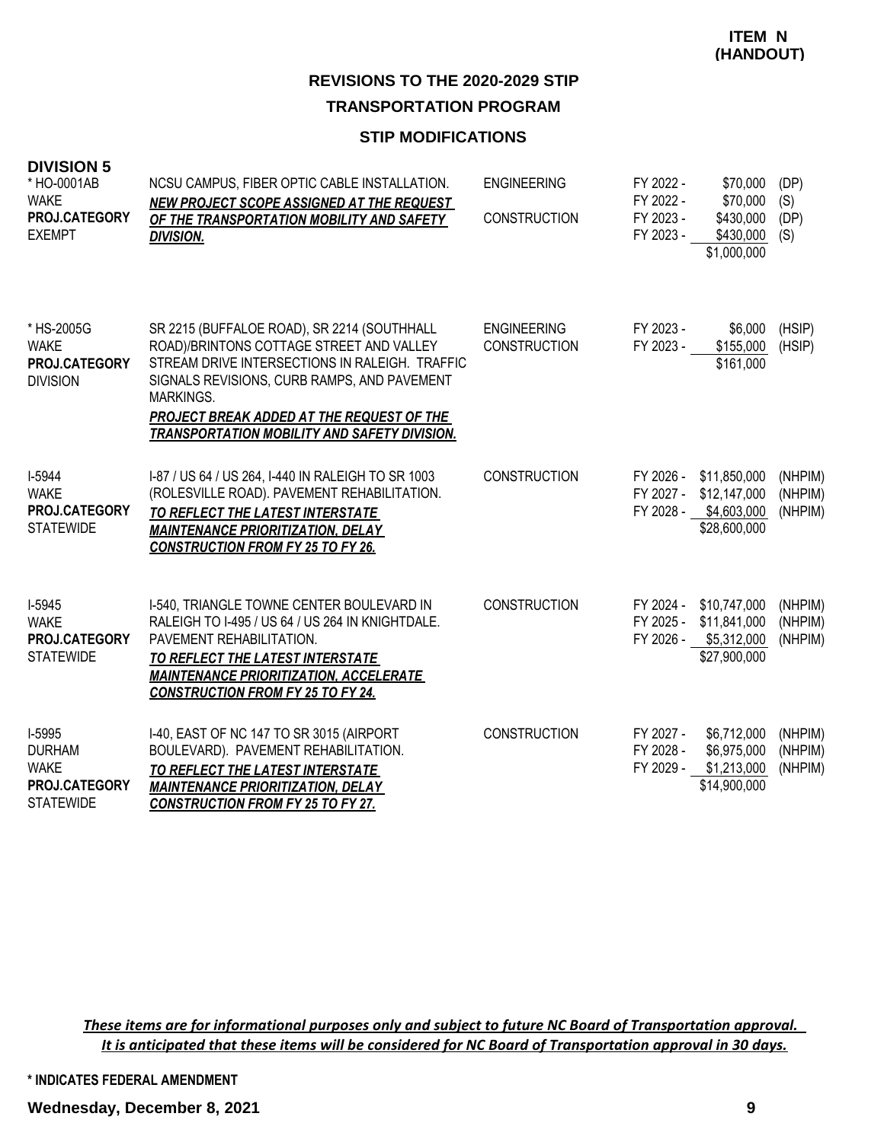#### **STIP MODIFICATIONS**

| <b>DIVISION 5</b><br>* HO-0001AB<br><b>WAKE</b><br>PROJ.CATEGORY<br><b>EXEMPT</b> | NCSU CAMPUS, FIBER OPTIC CABLE INSTALLATION.<br><b>NEW PROJECT SCOPE ASSIGNED AT THE REQUEST</b><br>OF THE TRANSPORTATION MOBILITY AND SAFETY<br><b>DIVISION.</b>                                                                                                                                         | <b>ENGINEERING</b><br><b>CONSTRUCTION</b> | FY 2022 -<br>FY 2022 -<br>FY 2023 -<br>FY 2023 - | \$70,000<br>\$70,000<br>\$430,000<br>\$430,000<br>\$1,000,000                   | (DP)<br>(S)<br>(DP)<br>(S)    |
|-----------------------------------------------------------------------------------|-----------------------------------------------------------------------------------------------------------------------------------------------------------------------------------------------------------------------------------------------------------------------------------------------------------|-------------------------------------------|--------------------------------------------------|---------------------------------------------------------------------------------|-------------------------------|
| * HS-2005G<br><b>WAKE</b><br>PROJ.CATEGORY<br><b>DIVISION</b>                     | SR 2215 (BUFFALOE ROAD), SR 2214 (SOUTHHALL<br>ROAD)/BRINTONS COTTAGE STREET AND VALLEY<br>STREAM DRIVE INTERSECTIONS IN RALEIGH. TRAFFIC<br>SIGNALS REVISIONS, CURB RAMPS, AND PAVEMENT<br>MARKINGS.<br>PROJECT BREAK ADDED AT THE REQUEST OF THE<br><b>TRANSPORTATION MOBILITY AND SAFETY DIVISION.</b> | <b>ENGINEERING</b><br><b>CONSTRUCTION</b> | FY 2023 -<br>FY 2023 -                           | \$6,000<br>\$155,000<br>\$161,000                                               | (HSIP)<br>(HSIP)              |
| I-5944<br><b>WAKE</b><br>PROJ.CATEGORY<br><b>STATEWIDE</b>                        | I-87 / US 64 / US 264, I-440 IN RALEIGH TO SR 1003<br>(ROLESVILLE ROAD). PAVEMENT REHABILITATION.<br>TO REFLECT THE LATEST INTERSTATE<br><b>MAINTENANCE PRIORITIZATION, DELAY</b><br><b>CONSTRUCTION FROM FY 25 TO FY 26.</b>                                                                             | <b>CONSTRUCTION</b>                       | FY 2026 -<br>FY 2027 -<br>FY 2028 -              | \$11,850,000<br>\$12,147,000<br>\$4,603,000<br>\$28,600,000                     | (NHPIM)<br>(NHPIM)<br>(NHPIM) |
| I-5945<br><b>WAKE</b><br>PROJ.CATEGORY<br><b>STATEWIDE</b>                        | I-540, TRIANGLE TOWNE CENTER BOULEVARD IN<br>RALEIGH TO I-495 / US 64 / US 264 IN KNIGHTDALE.<br>PAVEMENT REHABILITATION.<br>TO REFLECT THE LATEST INTERSTATE<br><b>MAINTENANCE PRIORITIZATION, ACCELERATE</b><br><b>CONSTRUCTION FROM FY 25 TO FY 24.</b>                                                | <b>CONSTRUCTION</b>                       | FY 2025 -                                        | FY 2024 - \$10,747,000<br>\$11,841,000<br>FY 2026 - \$5,312,000<br>\$27,900,000 | (NHPIM)<br>(NHPIM)<br>(NHPIM) |
| I-5995<br><b>DURHAM</b><br><b>WAKE</b><br>PROJ.CATEGORY<br><b>STATEWIDE</b>       | I-40, EAST OF NC 147 TO SR 3015 (AIRPORT<br>BOULEVARD). PAVEMENT REHABILITATION.<br>TO REFLECT THE LATEST INTERSTATE<br><b>MAINTENANCE PRIORITIZATION, DELAY</b><br><b>CONSTRUCTION FROM FY 25 TO FY 27.</b>                                                                                              | <b>CONSTRUCTION</b>                       | FY 2027 -<br>FY 2028 -<br>FY 2029 -              | \$6,712,000<br>\$6,975,000<br>\$1,213,000<br>\$14,900,000                       | (NHPIM)<br>(NHPIM)<br>(NHPIM) |

*These items are for informational purposes only and subject to future NC Board of Transportation approval. It is anticipated that these items will be considered for NC Board of Transportation approval in 30 days.*

**\* INDICATES FEDERAL AMENDMENT**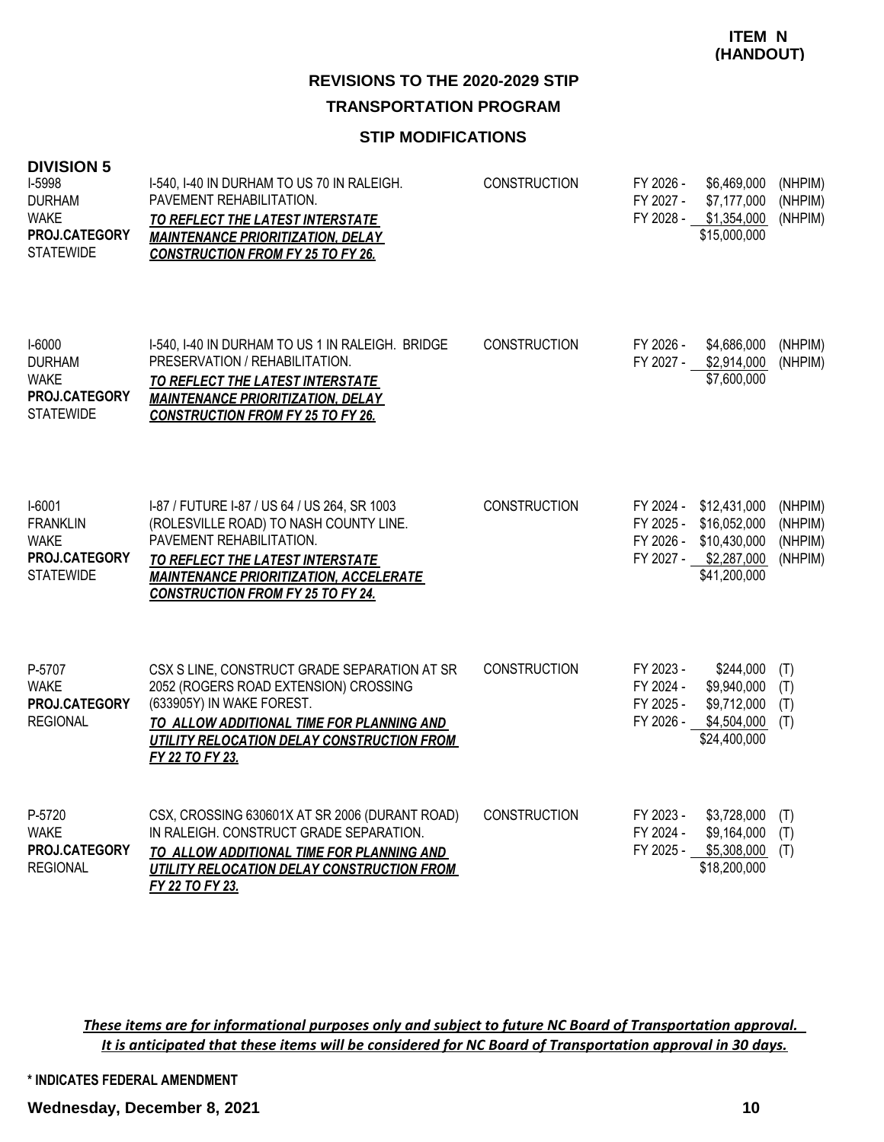#### **STIP MODIFICATIONS**

| <b>DIVISION 5</b><br>I-5998<br><b>DURHAM</b><br><b>WAKE</b><br>PROJ.CATEGORY<br><b>STATEWIDE</b> | I-540, I-40 IN DURHAM TO US 70 IN RALEIGH.<br>PAVEMENT REHABILITATION.<br>TO REFLECT THE LATEST INTERSTATE<br><b>MAINTENANCE PRIORITIZATION, DELAY</b><br><b>CONSTRUCTION FROM FY 25 TO FY 26.</b>                                                  | CONSTRUCTION        | FY 2026 -<br>FY 2027 -                           | \$6,469,000<br>\$7,177,000<br>FY 2028 - \$1,354,000<br>\$15,000,000                                       | (NHPIM)<br>(NHPIM)<br>(NHPIM)            |
|--------------------------------------------------------------------------------------------------|-----------------------------------------------------------------------------------------------------------------------------------------------------------------------------------------------------------------------------------------------------|---------------------|--------------------------------------------------|-----------------------------------------------------------------------------------------------------------|------------------------------------------|
| I-6000<br><b>DURHAM</b><br><b>WAKE</b><br>PROJ.CATEGORY<br><b>STATEWIDE</b>                      | I-540, I-40 IN DURHAM TO US 1 IN RALEIGH. BRIDGE<br>PRESERVATION / REHABILITATION.<br>TO REFLECT THE LATEST INTERSTATE<br><b>MAINTENANCE PRIORITIZATION, DELAY</b><br><b>CONSTRUCTION FROM FY 25 TO FY 26.</b>                                      | <b>CONSTRUCTION</b> | FY 2026 -<br>FY 2027 -                           | \$4,686,000<br>\$2,914,000<br>\$7,600,000                                                                 | (NHPIM)<br>(NHPIM)                       |
| $I-6001$<br><b>FRANKLIN</b><br><b>WAKE</b><br>PROJ.CATEGORY<br><b>STATEWIDE</b>                  | I-87 / FUTURE I-87 / US 64 / US 264, SR 1003<br>(ROLESVILLE ROAD) TO NASH COUNTY LINE.<br>PAVEMENT REHABILITATION.<br>TO REFLECT THE LATEST INTERSTATE<br><b>MAINTENANCE PRIORITIZATION, ACCELERATE</b><br><b>CONSTRUCTION FROM FY 25 TO FY 24.</b> | <b>CONSTRUCTION</b> | FY 2025 -                                        | FY 2024 - \$12,431,000<br>\$16,052,000<br>FY 2026 - \$10,430,000<br>FY 2027 - \$2,287,000<br>\$41,200,000 | (NHPIM)<br>(NHPIM)<br>(NHPIM)<br>(NHPIM) |
| P-5707<br><b>WAKE</b><br>PROJ.CATEGORY<br><b>REGIONAL</b>                                        | CSX S LINE, CONSTRUCT GRADE SEPARATION AT SR<br>2052 (ROGERS ROAD EXTENSION) CROSSING<br>(633905Y) IN WAKE FOREST.<br>TO ALLOW ADDITIONAL TIME FOR PLANNING AND<br>UTILITY RELOCATION DELAY CONSTRUCTION FROM<br>FY 22 TO FY 23.                    | <b>CONSTRUCTION</b> | FY 2023 -<br>FY 2024 -<br>FY 2025 -<br>FY 2026 - | \$244,000<br>\$9,940,000<br>\$9,712,000<br>\$4,504,000<br>\$24,400,000                                    | (T)<br>(T)<br>(T)<br>(T)                 |
| P-5720<br><b>WAKE</b><br>PROJ.CATEGORY<br><b>REGIONAL</b>                                        | CSX, CROSSING 630601X AT SR 2006 (DURANT ROAD)<br>IN RALEIGH. CONSTRUCT GRADE SEPARATION.<br>TO ALLOW ADDITIONAL TIME FOR PLANNING AND<br>UTILITY RELOCATION DELAY CONSTRUCTION FROM<br>FY 22 TO FY 23.                                             | <b>CONSTRUCTION</b> | FY 2023 -<br>FY 2024 -<br>FY 2025 -              | \$3,728,000<br>\$9,164,000<br>\$5,308,000<br>\$18,200,000                                                 | (T)<br>(T)<br>(T)                        |

*These items are for informational purposes only and subject to future NC Board of Transportation approval. It is anticipated that these items will be considered for NC Board of Transportation approval in 30 days.*

**\* INDICATES FEDERAL AMENDMENT**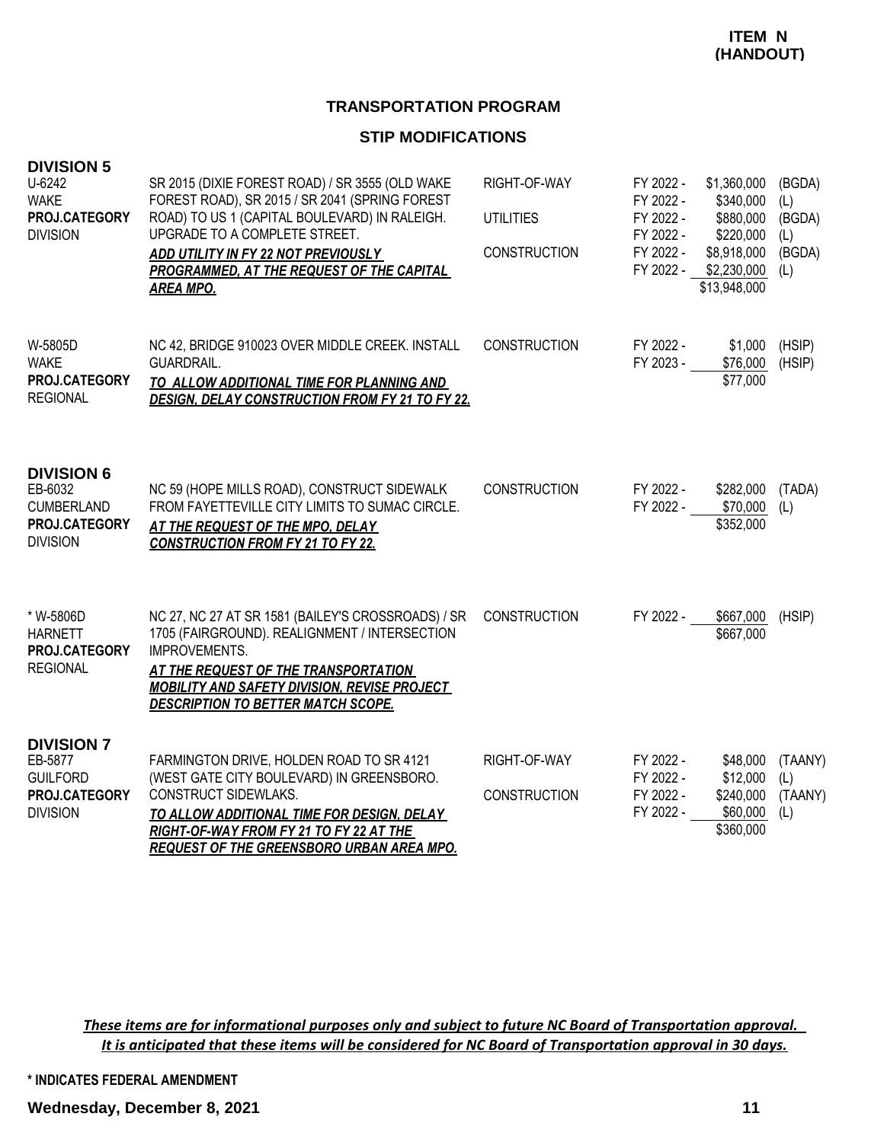#### **TRANSPORTATION PROGRAM**

#### **STIP MODIFICATIONS**

| <b>DIVISION 5</b><br>U-6242<br><b>WAKE</b><br>PROJ.CATEGORY<br><b>DIVISION</b>        | SR 2015 (DIXIE FOREST ROAD) / SR 3555 (OLD WAKE<br>FOREST ROAD), SR 2015 / SR 2041 (SPRING FOREST<br>ROAD) TO US 1 (CAPITAL BOULEVARD) IN RALEIGH.<br>UPGRADE TO A COMPLETE STREET.<br>ADD UTILITY IN FY 22 NOT PREVIOUSLY<br><b>PROGRAMMED, AT THE REQUEST OF THE CAPITAL</b><br><b>AREA MPO.</b> | RIGHT-OF-WAY<br><b>UTILITIES</b><br><b>CONSTRUCTION</b> | FY 2022 -<br>FY 2022 -<br>FY 2022 -<br>FY 2022 -<br>FY 2022 -<br>FY 2022 - | \$1,360,000<br>\$340,000<br>\$880,000<br>\$220,000<br>\$8,918,000<br>\$2,230,000<br>\$13,948,000 | (BGDA)<br>(L)<br>(BGDA)<br>(L)<br>(BGDA)<br>(L) |
|---------------------------------------------------------------------------------------|----------------------------------------------------------------------------------------------------------------------------------------------------------------------------------------------------------------------------------------------------------------------------------------------------|---------------------------------------------------------|----------------------------------------------------------------------------|--------------------------------------------------------------------------------------------------|-------------------------------------------------|
| W-5805D<br><b>WAKE</b><br>PROJ.CATEGORY<br><b>REGIONAL</b>                            | NC 42, BRIDGE 910023 OVER MIDDLE CREEK. INSTALL<br>GUARDRAIL.<br>TO ALLOW ADDITIONAL TIME FOR PLANNING AND<br><b>DESIGN, DELAY CONSTRUCTION FROM FY 21 TO FY 22.</b>                                                                                                                               | <b>CONSTRUCTION</b>                                     | FY 2022 -<br>FY 2023 -                                                     | \$1,000<br>\$76,000<br>\$77,000                                                                  | (HSIP)<br>(HSIP)                                |
| <b>DIVISION 6</b><br>EB-6032<br><b>CUMBERLAND</b><br>PROJ.CATEGORY<br><b>DIVISION</b> | NC 59 (HOPE MILLS ROAD), CONSTRUCT SIDEWALK<br>FROM FAYETTEVILLE CITY LIMITS TO SUMAC CIRCLE.<br>AT THE REQUEST OF THE MPO, DELAY<br><b>CONSTRUCTION FROM FY 21 TO FY 22.</b>                                                                                                                      | <b>CONSTRUCTION</b>                                     | FY 2022 -<br>FY 2022 -                                                     | \$282,000<br>\$70,000<br>\$352,000                                                               | (TADA)<br>(L)                                   |
| * W-5806D<br><b>HARNETT</b><br>PROJ.CATEGORY<br><b>REGIONAL</b>                       | NC 27, NC 27 AT SR 1581 (BAILEY'S CROSSROADS) / SR<br>1705 (FAIRGROUND). REALIGNMENT / INTERSECTION<br><b>IMPROVEMENTS.</b><br>AT THE REQUEST OF THE TRANSPORTATION<br><b>MOBILITY AND SAFETY DIVISION, REVISE PROJECT</b><br><b>DESCRIPTION TO BETTER MATCH SCOPE.</b>                            | <b>CONSTRUCTION</b>                                     | FY 2022 -                                                                  | \$667,000<br>\$667,000                                                                           | (HSIP)                                          |
| <b>DIVISION 7</b><br>EB-5877<br><b>GUILFORD</b><br>PROJ.CATEGORY<br><b>DIVISION</b>   | FARMINGTON DRIVE, HOLDEN ROAD TO SR 4121<br>(WEST GATE CITY BOULEVARD) IN GREENSBORO.<br><b>CONSTRUCT SIDEWLAKS.</b><br>TO ALLOW ADDITIONAL TIME FOR DESIGN, DELAY<br>RIGHT-OF-WAY FROM FY 21 TO FY 22 AT THE<br><b>REQUEST OF THE GREENSBORO URBAN AREA MPO.</b>                                  | RIGHT-OF-WAY<br><b>CONSTRUCTION</b>                     | FY 2022 -<br>FY 2022 -<br>FY 2022 -<br>FY 2022 -                           | \$48,000<br>\$12,000<br>\$240,000<br>\$60,000<br>\$360,000                                       | (TAANY)<br>(L)<br>(TAANY)<br>(L)                |

*These items are for informational purposes only and subject to future NC Board of Transportation approval. It is anticipated that these items will be considered for NC Board of Transportation approval in 30 days.*

**\* INDICATES FEDERAL AMENDMENT**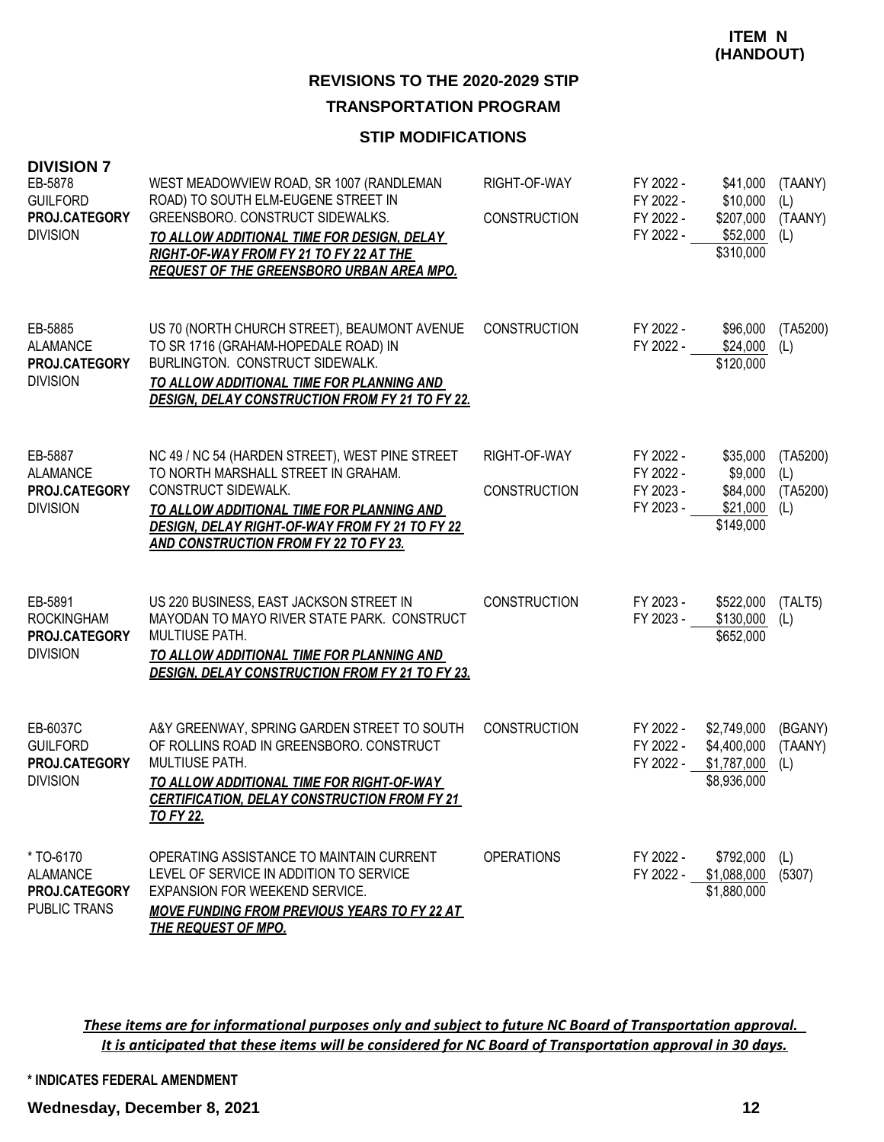#### **STIP MODIFICATIONS**

| <b>DIVISION 7</b><br>EB-5878<br><b>GUILFORD</b><br><b>PROJ.CATEGORY</b><br><b>DIVISION</b> | WEST MEADOWVIEW ROAD, SR 1007 (RANDLEMAN<br>ROAD) TO SOUTH ELM-EUGENE STREET IN<br>GREENSBORO. CONSTRUCT SIDEWALKS.<br>TO ALLOW ADDITIONAL TIME FOR DESIGN, DELAY<br>RIGHT-OF-WAY FROM FY 21 TO FY 22 AT THE<br><b>REQUEST OF THE GREENSBORO URBAN AREA MPO.</b> | RIGHT-OF-WAY<br><b>CONSTRUCTION</b> | FY 2022 -<br>FY 2022 -<br>FY 2022 -<br>FY 2022 - | \$41,000<br>\$10,000<br>\$207,000<br>\$52,000<br>\$310,000 | (TAANY)<br>(L)<br>(TAANY)<br>(L)   |
|--------------------------------------------------------------------------------------------|------------------------------------------------------------------------------------------------------------------------------------------------------------------------------------------------------------------------------------------------------------------|-------------------------------------|--------------------------------------------------|------------------------------------------------------------|------------------------------------|
| EB-5885<br><b>ALAMANCE</b><br>PROJ.CATEGORY<br><b>DIVISION</b>                             | US 70 (NORTH CHURCH STREET), BEAUMONT AVENUE<br>TO SR 1716 (GRAHAM-HOPEDALE ROAD) IN<br>BURLINGTON. CONSTRUCT SIDEWALK.<br>TO ALLOW ADDITIONAL TIME FOR PLANNING AND<br><b>DESIGN, DELAY CONSTRUCTION FROM FY 21 TO FY 22.</b>                                   | <b>CONSTRUCTION</b>                 | FY 2022 -<br>FY 2022 -                           | \$96,000<br>\$24,000<br>\$120,000                          | (TA5200)<br>(L)                    |
| EB-5887<br><b>ALAMANCE</b><br>PROJ.CATEGORY<br><b>DIVISION</b>                             | NC 49 / NC 54 (HARDEN STREET), WEST PINE STREET<br>TO NORTH MARSHALL STREET IN GRAHAM.<br>CONSTRUCT SIDEWALK.<br>TO ALLOW ADDITIONAL TIME FOR PLANNING AND<br>DESIGN, DELAY RIGHT-OF-WAY FROM FY 21 TO FY 22<br>AND CONSTRUCTION FROM FY 22 TO FY 23.            | RIGHT-OF-WAY<br><b>CONSTRUCTION</b> | FY 2022 -<br>FY 2022 -<br>FY 2023 -<br>FY 2023 - | \$35,000<br>\$9,000<br>\$84,000<br>\$21,000<br>\$149,000   | (TA5200)<br>(L)<br>(TA5200)<br>(L) |
| EB-5891<br><b>ROCKINGHAM</b><br>PROJ.CATEGORY<br><b>DIVISION</b>                           | US 220 BUSINESS, EAST JACKSON STREET IN<br>MAYODAN TO MAYO RIVER STATE PARK. CONSTRUCT<br>MULTIUSE PATH.<br>TO ALLOW ADDITIONAL TIME FOR PLANNING AND<br><b>DESIGN, DELAY CONSTRUCTION FROM FY 21 TO FY 23.</b>                                                  | <b>CONSTRUCTION</b>                 | FY 2023 -<br>FY 2023 -                           | \$522,000<br>\$130,000<br>\$652,000                        | (TALT5)<br>(L)                     |
| EB-6037C<br><b>GUILFORD</b><br>PROJ.CATEGORY<br><b>DIVISION</b>                            | A&Y GREENWAY, SPRING GARDEN STREET TO SOUTH<br>OF ROLLINS ROAD IN GREENSBORO. CONSTRUCT<br><b>MULTIUSE PATH.</b><br>TO ALLOW ADDITIONAL TIME FOR RIGHT-OF-WAY<br><b>CERTIFICATION, DELAY CONSTRUCTION FROM FY 21</b><br><u>TO FY 22.</u>                         | <b>CONSTRUCTION</b>                 | FY 2022 -<br>FY 2022 -<br>FY 2022 - \$1,787,000  | \$2,749,000<br>\$4,400,000<br>\$8,936,000                  | (BGANY)<br>(TAANY)<br>(L)          |
| *TO-6170<br><b>ALAMANCE</b><br><b>PROJ.CATEGORY</b><br>PUBLIC TRANS                        | OPERATING ASSISTANCE TO MAINTAIN CURRENT<br>LEVEL OF SERVICE IN ADDITION TO SERVICE<br>EXPANSION FOR WEEKEND SERVICE.<br><b>MOVE FUNDING FROM PREVIOUS YEARS TO FY 22 AT</b><br><b>THE REQUEST OF MPO.</b>                                                       | <b>OPERATIONS</b>                   | FY 2022 -                                        | \$792,000<br>FY 2022 - \$1,088,000 (5307)<br>\$1,880,000   | (L)                                |

*These items are for informational purposes only and subject to future NC Board of Transportation approval. It is anticipated that these items will be considered for NC Board of Transportation approval in 30 days.*

**\* INDICATES FEDERAL AMENDMENT**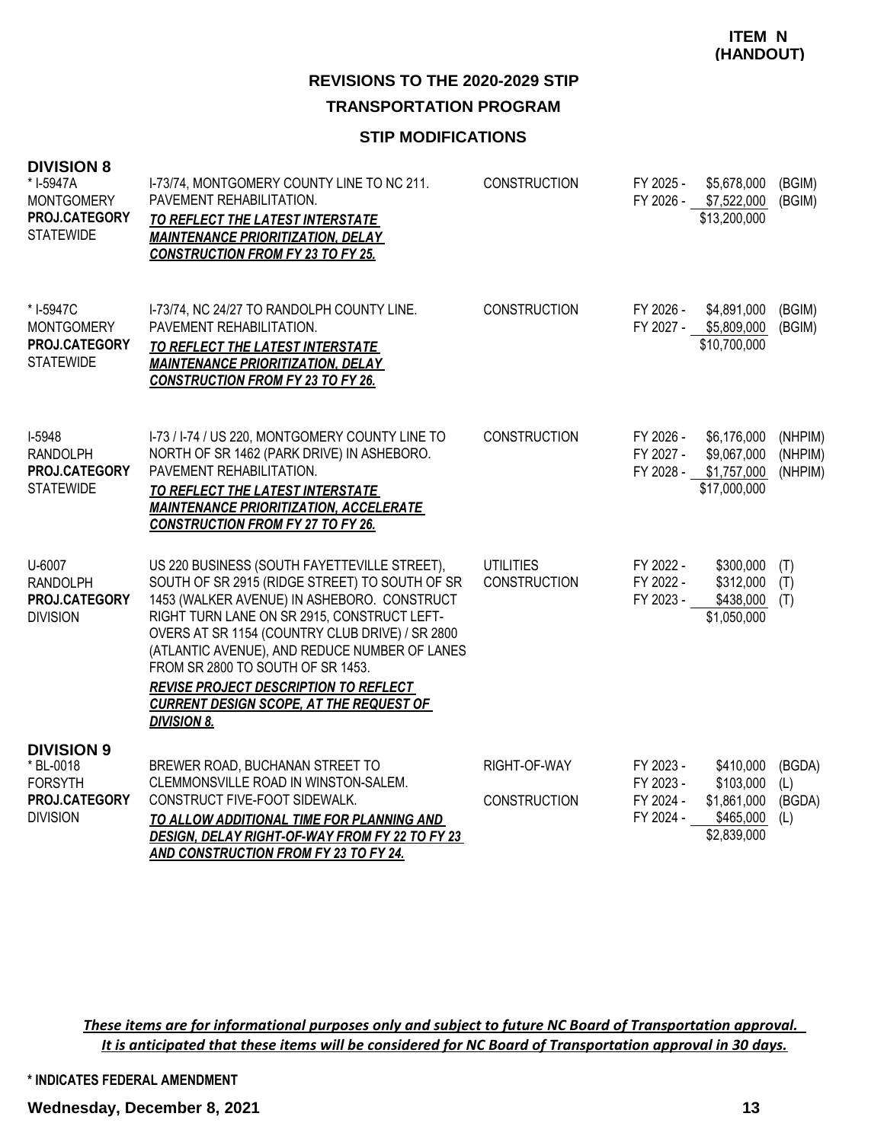#### **STIP MODIFICATIONS**

| <b>DIVISION 8</b><br>* I-5947A<br><b>MONTGOMERY</b><br>PROJ.CATEGORY<br><b>STATEWIDE</b> | I-73/74, MONTGOMERY COUNTY LINE TO NC 211.<br>PAVEMENT REHABILITATION.<br>TO REFLECT THE LATEST INTERSTATE<br><b>MAINTENANCE PRIORITIZATION, DELAY</b><br><b>CONSTRUCTION FROM FY 23 TO FY 25.</b>                                                                                                                                                                                                                                                            | <b>CONSTRUCTION</b>                 | FY 2025 -                                        | \$5,678,000<br>FY 2026 - \$7,522,000<br>\$13,200,000                | (BGIM)<br>(BGIM)               |
|------------------------------------------------------------------------------------------|---------------------------------------------------------------------------------------------------------------------------------------------------------------------------------------------------------------------------------------------------------------------------------------------------------------------------------------------------------------------------------------------------------------------------------------------------------------|-------------------------------------|--------------------------------------------------|---------------------------------------------------------------------|--------------------------------|
| * I-5947C<br><b>MONTGOMERY</b><br>PROJ.CATEGORY<br><b>STATEWIDE</b>                      | I-73/74, NC 24/27 TO RANDOLPH COUNTY LINE.<br>PAVEMENT REHABILITATION.<br>TO REFLECT THE LATEST INTERSTATE<br><b>MAINTENANCE PRIORITIZATION, DELAY</b><br><b>CONSTRUCTION FROM FY 23 TO FY 26.</b>                                                                                                                                                                                                                                                            | <b>CONSTRUCTION</b>                 | FY 2026 -                                        | \$4,891,000<br>FY 2027 - \$5,809,000<br>\$10,700,000                | (BGIM)<br>(BGIM)               |
| I-5948<br><b>RANDOLPH</b><br>PROJ.CATEGORY<br><b>STATEWIDE</b>                           | I-73 / I-74 / US 220, MONTGOMERY COUNTY LINE TO<br>NORTH OF SR 1462 (PARK DRIVE) IN ASHEBORO.<br>PAVEMENT REHABILITATION.<br>TO REFLECT THE LATEST INTERSTATE<br><b>MAINTENANCE PRIORITIZATION, ACCELERATE</b><br><b>CONSTRUCTION FROM FY 27 TO FY 26.</b>                                                                                                                                                                                                    | <b>CONSTRUCTION</b>                 | FY 2026 -<br>FY 2027 -                           | \$6,176,000<br>\$9,067,000<br>FY 2028 - \$1,757,000<br>\$17,000,000 | (NHPIM)<br>(NHPIM)<br>(NHPIM)  |
| U-6007<br><b>RANDOLPH</b><br>PROJ.CATEGORY<br><b>DIVISION</b>                            | US 220 BUSINESS (SOUTH FAYETTEVILLE STREET),<br>SOUTH OF SR 2915 (RIDGE STREET) TO SOUTH OF SR<br>1453 (WALKER AVENUE) IN ASHEBORO. CONSTRUCT<br>RIGHT TURN LANE ON SR 2915, CONSTRUCT LEFT-<br>OVERS AT SR 1154 (COUNTRY CLUB DRIVE) / SR 2800<br>(ATLANTIC AVENUE), AND REDUCE NUMBER OF LANES<br>FROM SR 2800 TO SOUTH OF SR 1453.<br><b>REVISE PROJECT DESCRIPTION TO REFLECT</b><br><b>CURRENT DESIGN SCOPE, AT THE REQUEST OF</b><br><b>DIVISION 8.</b> | <b>UTILITIES</b><br>CONSTRUCTION    | FY 2022 -<br>FY 2022 -<br>FY 2023 -              | \$300,000<br>\$312,000<br>\$438,000<br>\$1,050,000                  | (T)<br>(T)<br>(T)              |
| <b>DIVISION 9</b><br>* BL-0018<br><b>FORSYTH</b><br>PROJ.CATEGORY<br><b>DIVISION</b>     | BREWER ROAD, BUCHANAN STREET TO<br>CLEMMONSVILLE ROAD IN WINSTON-SALEM.<br>CONSTRUCT FIVE-FOOT SIDEWALK.<br>TO ALLOW ADDITIONAL TIME FOR PLANNING AND<br><b>DESIGN, DELAY RIGHT-OF-WAY FROM FY 22 TO FY 23</b><br>AND CONSTRUCTION FROM FY 23 TO FY 24.                                                                                                                                                                                                       | RIGHT-OF-WAY<br><b>CONSTRUCTION</b> | FY 2023 -<br>FY 2023 -<br>FY 2024 -<br>FY 2024 - | \$410,000<br>\$103,000<br>\$1,861,000<br>\$465,000<br>\$2,839,000   | (BGDA)<br>(L)<br>(BGDA)<br>(L) |

*These items are for informational purposes only and subject to future NC Board of Transportation approval. It is anticipated that these items will be considered for NC Board of Transportation approval in 30 days.*

**\* INDICATES FEDERAL AMENDMENT**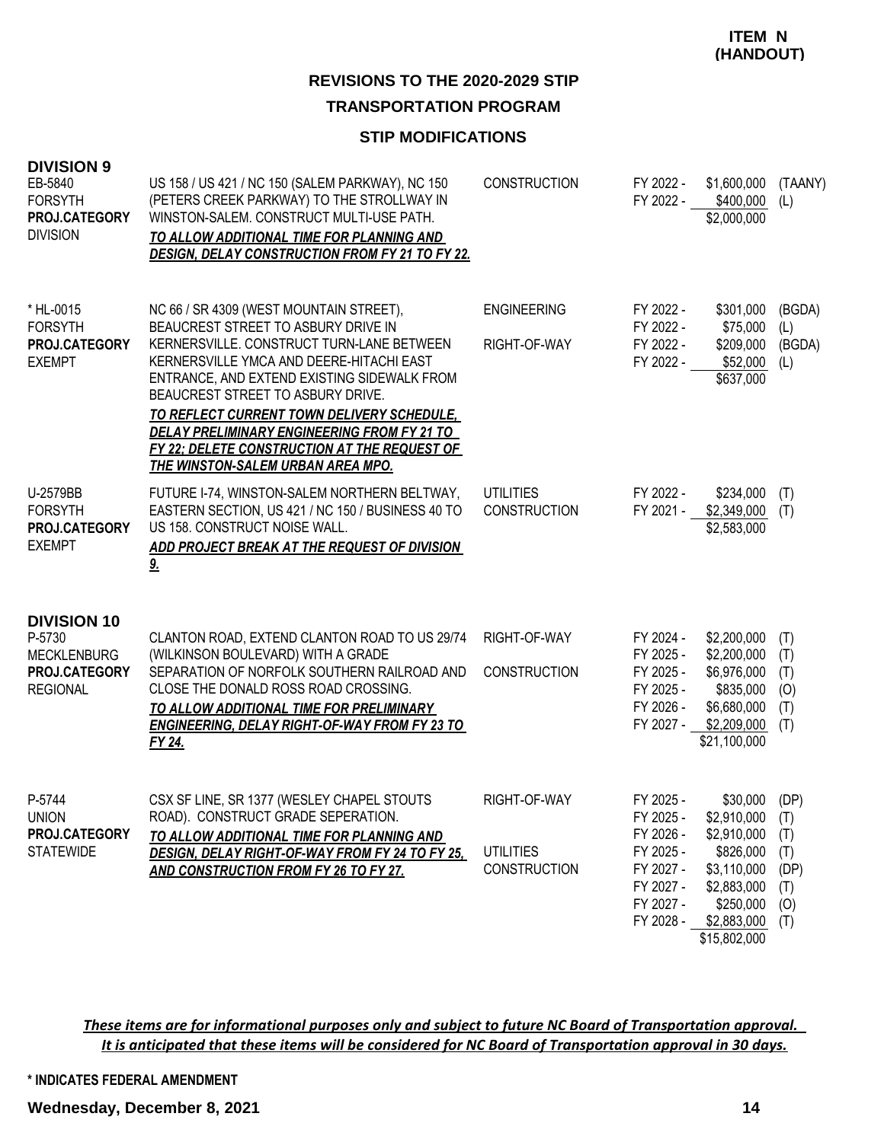## **REVISIONS TO THE 2020-2029 STIP TRANSPORTATION PROGRAM**

#### **STIP MODIFICATIONS**

| <b>DIVISION 9</b><br>EB-5840<br><b>FORSYTH</b><br>PROJ.CATEGORY<br><b>DIVISION</b>     | US 158 / US 421 / NC 150 (SALEM PARKWAY), NC 150<br>(PETERS CREEK PARKWAY) TO THE STROLLWAY IN<br>WINSTON-SALEM. CONSTRUCT MULTI-USE PATH.<br>TO ALLOW ADDITIONAL TIME FOR PLANNING AND<br><b>DESIGN, DELAY CONSTRUCTION FROM FY 21 TO FY 22.</b>                                                                                                                                                                                                           | <b>CONSTRUCTION</b>                              | FY 2022 -<br>FY 2022 -                                                                               | \$1,600,000<br>\$400,000<br>\$2,000,000                                                                                       | (TAANY)<br>(L)                                         |
|----------------------------------------------------------------------------------------|-------------------------------------------------------------------------------------------------------------------------------------------------------------------------------------------------------------------------------------------------------------------------------------------------------------------------------------------------------------------------------------------------------------------------------------------------------------|--------------------------------------------------|------------------------------------------------------------------------------------------------------|-------------------------------------------------------------------------------------------------------------------------------|--------------------------------------------------------|
| * HL-0015<br><b>FORSYTH</b><br>PROJ.CATEGORY<br><b>EXEMPT</b>                          | NC 66 / SR 4309 (WEST MOUNTAIN STREET),<br>BEAUCREST STREET TO ASBURY DRIVE IN<br>KERNERSVILLE. CONSTRUCT TURN-LANE BETWEEN<br>KERNERSVILLE YMCA AND DEERE-HITACHI EAST<br>ENTRANCE, AND EXTEND EXISTING SIDEWALK FROM<br>BEAUCREST STREET TO ASBURY DRIVE.<br>TO REFLECT CURRENT TOWN DELIVERY SCHEDULE,<br><b>DELAY PRELIMINARY ENGINEERING FROM FY 21 TO</b><br>FY 22; DELETE CONSTRUCTION AT THE REQUEST OF<br><b>THE WINSTON-SALEM URBAN AREA MPO.</b> | <b>ENGINEERING</b><br>RIGHT-OF-WAY               | FY 2022 -<br>FY 2022 -<br>FY 2022 -<br>FY 2022 -                                                     | \$301,000<br>\$75,000<br>\$209,000<br>\$52,000<br>\$637,000                                                                   | (BGDA)<br>(L)<br>(BGDA)<br>(L)                         |
| U-2579BB<br><b>FORSYTH</b><br>PROJ.CATEGORY<br><b>EXEMPT</b>                           | FUTURE I-74, WINSTON-SALEM NORTHERN BELTWAY,<br>EASTERN SECTION, US 421 / NC 150 / BUSINESS 40 TO<br>US 158. CONSTRUCT NOISE WALL.<br>ADD PROJECT BREAK AT THE REQUEST OF DIVISION<br>9 <sub>1</sub>                                                                                                                                                                                                                                                        | <b>UTILITIES</b><br><b>CONSTRUCTION</b>          | FY 2022 -<br>FY 2021 -                                                                               | \$234,000<br>\$2,349,000<br>\$2,583,000                                                                                       | (T)<br>(T)                                             |
| <b>DIVISION 10</b><br>P-5730<br><b>MECKLENBURG</b><br>PROJ.CATEGORY<br><b>REGIONAL</b> | CLANTON ROAD, EXTEND CLANTON ROAD TO US 29/74<br>(WILKINSON BOULEVARD) WITH A GRADE<br>SEPARATION OF NORFOLK SOUTHERN RAILROAD AND<br>CLOSE THE DONALD ROSS ROAD CROSSING.<br>TO ALLOW ADDITIONAL TIME FOR PRELIMINARY<br><b>ENGINEERING, DELAY RIGHT-OF-WAY FROM FY 23 TO</b><br>FY 24.                                                                                                                                                                    | RIGHT-OF-WAY<br><b>CONSTRUCTION</b>              | FY 2024 -<br>FY 2025 -<br>FY 2025 -<br>FY 2025 -<br>FY 2026 -<br>FY 2027 -                           | \$2,200,000<br>\$2,200,000<br>\$6,976,000<br>\$835,000<br>\$6,680,000<br>\$2,209,000<br>\$21,100,000                          | (T)<br>(T)<br>(T)<br>(0)<br>(T)<br>(T)                 |
| P-5744<br><b>UNION</b><br>PROJ.CATEGORY<br><b>STATEWIDE</b>                            | CSX SF LINE, SR 1377 (WESLEY CHAPEL STOUTS<br>ROAD). CONSTRUCT GRADE SEPERATION.<br>TO ALLOW ADDITIONAL TIME FOR PLANNING AND<br><b>DESIGN, DELAY RIGHT-OF-WAY FROM FY 24 TO FY 25.</b><br>AND CONSTRUCTION FROM FY 26 TO FY 27.                                                                                                                                                                                                                            | RIGHT-OF-WAY<br><b>UTILITIES</b><br>CONSTRUCTION | FY 2025 -<br>FY 2025 -<br>FY 2026 -<br>FY 2025 -<br>FY 2027 -<br>FY 2027 -<br>FY 2027 -<br>FY 2028 - | \$30,000<br>\$2,910,000<br>\$2,910,000<br>\$826,000<br>\$3,110,000<br>\$2,883,000<br>\$250,000<br>\$2,883,000<br>\$15,802,000 | (DP)<br>(T)<br>(T)<br>(T)<br>(DP)<br>(T)<br>(O)<br>(T) |

*These items are for informational purposes only and subject to future NC Board of Transportation approval. It is anticipated that these items will be considered for NC Board of Transportation approval in 30 days.*

**\* INDICATES FEDERAL AMENDMENT**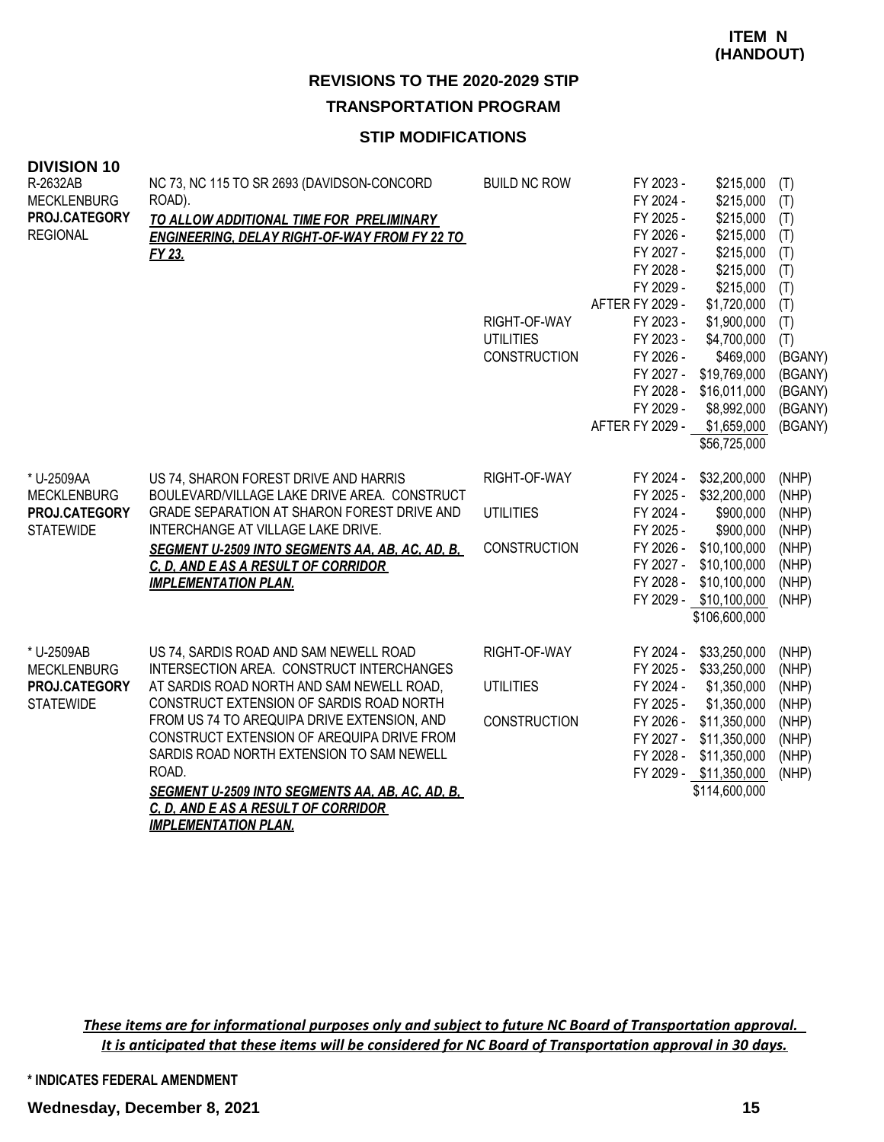## **STIP MODIFICATIONS**

| <b>DIVISION 10</b> |                                                        |                                  |                        |                            |                |
|--------------------|--------------------------------------------------------|----------------------------------|------------------------|----------------------------|----------------|
| R-2632AB           | NC 73, NC 115 TO SR 2693 (DAVIDSON-CONCORD             | <b>BUILD NC ROW</b>              | FY 2023 -              | \$215,000                  | (T)            |
| <b>MECKLENBURG</b> | ROAD).                                                 |                                  | FY 2024 -              | \$215,000                  | (T)            |
| PROJ.CATEGORY      | TO ALLOW ADDITIONAL TIME FOR PRELIMINARY               |                                  | FY 2025 -              | \$215,000                  | (T)            |
| <b>REGIONAL</b>    | <b>ENGINEERING, DELAY RIGHT-OF-WAY FROM FY 22 TO</b>   |                                  | FY 2026 -              | \$215,000                  | (T)            |
|                    | FY 23.                                                 |                                  | FY 2027 -              | \$215,000                  | (T)            |
|                    |                                                        |                                  | FY 2028 -              | \$215,000                  | (T)            |
|                    |                                                        |                                  | FY 2029 -              | \$215,000                  | (T)            |
|                    |                                                        |                                  | AFTER FY 2029 -        | \$1,720,000                | (T)            |
|                    |                                                        | RIGHT-OF-WAY<br><b>UTILITIES</b> | FY 2023 -<br>FY 2023 - | \$1,900,000<br>\$4,700,000 | (T)            |
|                    |                                                        | <b>CONSTRUCTION</b>              | FY 2026 -              | \$469,000                  | (T)<br>(BGANY) |
|                    |                                                        |                                  | FY 2027 -              | \$19,769,000               | (BGANY)        |
|                    |                                                        |                                  | FY 2028 -              | \$16,011,000               | (BGANY)        |
|                    |                                                        |                                  | FY 2029 -              | \$8,992,000                | (BGANY)        |
|                    |                                                        |                                  | AFTER FY 2029 -        | \$1,659,000                | (BGANY)        |
|                    |                                                        |                                  |                        | \$56,725,000               |                |
|                    |                                                        |                                  |                        |                            |                |
| * U-2509AA         | US 74, SHARON FOREST DRIVE AND HARRIS                  | RIGHT-OF-WAY                     | FY 2024 -              | \$32,200,000               | (NHP)          |
| <b>MECKLENBURG</b> | BOULEVARD/VILLAGE LAKE DRIVE AREA. CONSTRUCT           |                                  | FY 2025 -              | \$32,200,000               | (NHP)          |
| PROJ.CATEGORY      | GRADE SEPARATION AT SHARON FOREST DRIVE AND            | <b>UTILITIES</b>                 | FY 2024 -              | \$900,000                  | (NHP)          |
| <b>STATEWIDE</b>   | INTERCHANGE AT VILLAGE LAKE DRIVE.                     |                                  | FY 2025 -              | \$900,000                  | (NHP)          |
|                    | <b>SEGMENT U-2509 INTO SEGMENTS AA, AB, AC, AD, B,</b> | <b>CONSTRUCTION</b>              | FY 2026 -              | \$10,100,000               | (NHP)          |
|                    | C. D. AND E AS A RESULT OF CORRIDOR                    |                                  | FY 2027 -              | \$10,100,000               | (NHP)          |
|                    | <b>IMPLEMENTATION PLAN.</b>                            |                                  | FY 2028 -              | \$10,100,000               | (NHP)          |
|                    |                                                        |                                  |                        | FY 2029 - \$10,100,000     | (NHP)          |
|                    |                                                        |                                  |                        | \$106,600,000              |                |
| * U-2509AB         | US 74, SARDIS ROAD AND SAM NEWELL ROAD                 | RIGHT-OF-WAY                     | FY 2024 -              | \$33,250,000               | (NHP)          |
| <b>MECKLENBURG</b> | INTERSECTION AREA. CONSTRUCT INTERCHANGES              |                                  | FY 2025 -              | \$33,250,000               | (NHP)          |
| PROJ.CATEGORY      | AT SARDIS ROAD NORTH AND SAM NEWELL ROAD,              | <b>UTILITIES</b>                 | FY 2024 -              | \$1,350,000                | (NHP)          |
| <b>STATEWIDE</b>   | CONSTRUCT EXTENSION OF SARDIS ROAD NORTH               |                                  | FY 2025 -              | \$1,350,000                | (NHP)          |
|                    | FROM US 74 TO AREQUIPA DRIVE EXTENSION, AND            | <b>CONSTRUCTION</b>              | FY 2026 -              | \$11,350,000               | (NHP)          |
|                    | CONSTRUCT EXTENSION OF AREQUIPA DRIVE FROM             |                                  | FY 2027 -              | \$11,350,000               | (NHP)          |
|                    | SARDIS ROAD NORTH EXTENSION TO SAM NEWELL              |                                  | FY 2028 -              | \$11,350,000               | (NHP)          |
|                    | ROAD.                                                  |                                  |                        | FY 2029 - \$11,350,000     | (NHP)          |
|                    | <b>SEGMENT U-2509 INTO SEGMENTS AA, AB, AC, AD, B,</b> |                                  |                        | \$114,600,000              |                |
|                    | C. D. AND E AS A RESULT OF CORRIDOR                    |                                  |                        |                            |                |
|                    | <b>IMPLEMENTATION PLAN.</b>                            |                                  |                        |                            |                |

*These items are for informational purposes only and subject to future NC Board of Transportation approval. It is anticipated that these items will be considered for NC Board of Transportation approval in 30 days.*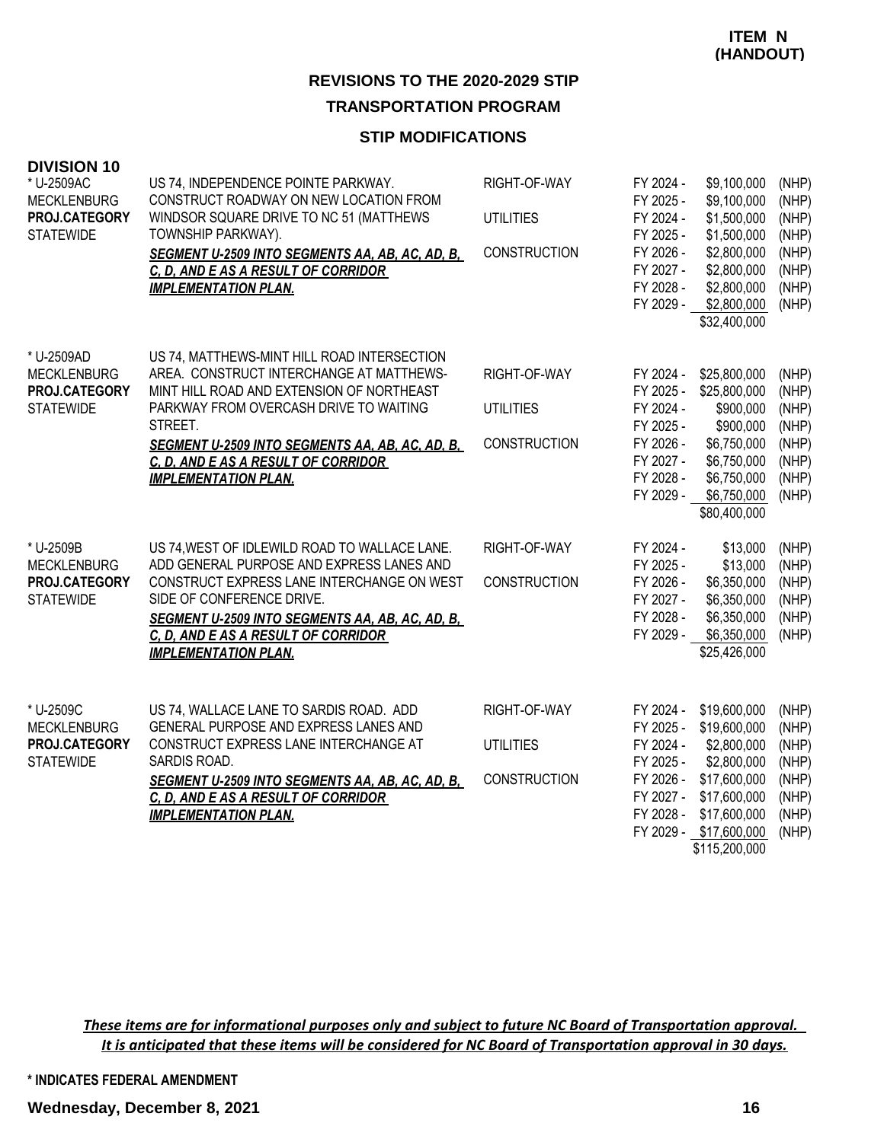#### **STIP MODIFICATIONS**

| <b>DIVISION 10</b><br>* U-2509AC<br><b>MECKLENBURG</b><br>PROJ.CATEGORY<br><b>STATEWIDE</b> | US 74, INDEPENDENCE POINTE PARKWAY.<br>CONSTRUCT ROADWAY ON NEW LOCATION FROM<br>WINDSOR SQUARE DRIVE TO NC 51 (MATTHEWS<br>TOWNSHIP PARKWAY).<br>SEGMENT U-2509 INTO SEGMENTS AA, AB, AC, AD, B,<br>C. D. AND E AS A RESULT OF CORRIDOR<br><b>IMPLEMENTATION PLAN.</b>                                                   | RIGHT-OF-WAY<br><b>UTILITIES</b><br><b>CONSTRUCTION</b> | FY 2024 -<br>FY 2025 -<br>FY 2024 -<br>FY 2025 -<br>FY 2026 -<br>FY 2027 -<br>FY 2028 -<br>FY 2029 - | \$9,100,000<br>\$9,100,000<br>\$1,500,000<br>\$1,500,000<br>\$2,800,000<br>\$2,800,000<br>\$2,800,000<br>\$2,800,000<br>\$32,400,000                  | (NHP)<br>(NHP)<br>(NHP)<br>(NHP)<br>(NHP)<br>(NHP)<br>(NHP)<br>(NHP) |
|---------------------------------------------------------------------------------------------|---------------------------------------------------------------------------------------------------------------------------------------------------------------------------------------------------------------------------------------------------------------------------------------------------------------------------|---------------------------------------------------------|------------------------------------------------------------------------------------------------------|-------------------------------------------------------------------------------------------------------------------------------------------------------|----------------------------------------------------------------------|
| * U-2509AD<br><b>MECKLENBURG</b><br>PROJ.CATEGORY<br><b>STATEWIDE</b>                       | US 74, MATTHEWS-MINT HILL ROAD INTERSECTION<br>AREA. CONSTRUCT INTERCHANGE AT MATTHEWS-<br>MINT HILL ROAD AND EXTENSION OF NORTHEAST<br>PARKWAY FROM OVERCASH DRIVE TO WAITING<br>STREET.<br><b>SEGMENT U-2509 INTO SEGMENTS AA, AB, AC, AD, B,</b><br>C. D. AND E AS A RESULT OF CORRIDOR<br><b>IMPLEMENTATION PLAN.</b> | RIGHT-OF-WAY<br><b>UTILITIES</b><br><b>CONSTRUCTION</b> | FY 2024 -<br>FY 2025 -<br>FY 2024 -<br>FY 2025 -<br>FY 2026 -<br>FY 2027 -<br>FY 2028 -<br>FY 2029 - | \$25,800,000<br>\$25,800,000<br>\$900,000<br>\$900,000<br>\$6,750,000<br>\$6,750,000<br>\$6,750,000<br>\$6,750,000<br>\$80,400,000                    | (NHP)<br>(NHP)<br>(NHP)<br>(NHP)<br>(NHP)<br>(NHP)<br>(NHP)<br>(NHP) |
| * U-2509B<br><b>MECKLENBURG</b><br>PROJ.CATEGORY<br><b>STATEWIDE</b>                        | US 74, WEST OF IDLEWILD ROAD TO WALLACE LANE.<br>ADD GENERAL PURPOSE AND EXPRESS LANES AND<br>CONSTRUCT EXPRESS LANE INTERCHANGE ON WEST<br>SIDE OF CONFERENCE DRIVE.<br>SEGMENT U-2509 INTO SEGMENTS AA, AB, AC, AD, B,<br>C. D. AND E AS A RESULT OF CORRIDOR<br><b>IMPLEMENTATION PLAN.</b>                            | RIGHT-OF-WAY<br><b>CONSTRUCTION</b>                     | FY 2024 -<br>FY 2025 -<br>FY 2026 -<br>FY 2027 -<br>FY 2028 -<br>FY 2029 -                           | \$13,000<br>\$13,000<br>\$6,350,000<br>\$6,350,000<br>\$6,350,000<br>\$6,350,000<br>\$25,426,000                                                      | (NHP)<br>(NHP)<br>(NHP)<br>(NHP)<br>(NHP)<br>(NHP)                   |
| * U-2509C<br><b>MECKLENBURG</b><br>PROJ.CATEGORY<br><b>STATEWIDE</b>                        | US 74, WALLACE LANE TO SARDIS ROAD. ADD<br>GENERAL PURPOSE AND EXPRESS LANES AND<br>CONSTRUCT EXPRESS LANE INTERCHANGE AT<br>SARDIS ROAD.<br><b>SEGMENT U-2509 INTO SEGMENTS AA, AB, AC, AD, B,</b><br>C. D. AND E AS A RESULT OF CORRIDOR<br><b>IMPLEMENTATION PLAN.</b>                                                 | RIGHT-OF-WAY<br><b>UTILITIES</b><br><b>CONSTRUCTION</b> | FY 2024 -<br>FY 2025 -<br>FY 2024 -<br>FY 2025 -<br>FY 2026 -<br>FY 2027 -<br>FY 2028 -              | \$19,600,000<br>\$19,600,000<br>\$2,800,000<br>\$2,800,000<br>\$17,600,000<br>\$17,600,000<br>\$17,600,000<br>FY 2029 - \$17,600,000<br>\$115,200,000 | (NHP)<br>(NHP)<br>(NHP)<br>(NHP)<br>(NHP)<br>(NHP)<br>(NHP)<br>(NHP) |

*These items are for informational purposes only and subject to future NC Board of Transportation approval. It is anticipated that these items will be considered for NC Board of Transportation approval in 30 days.*

**\* INDICATES FEDERAL AMENDMENT**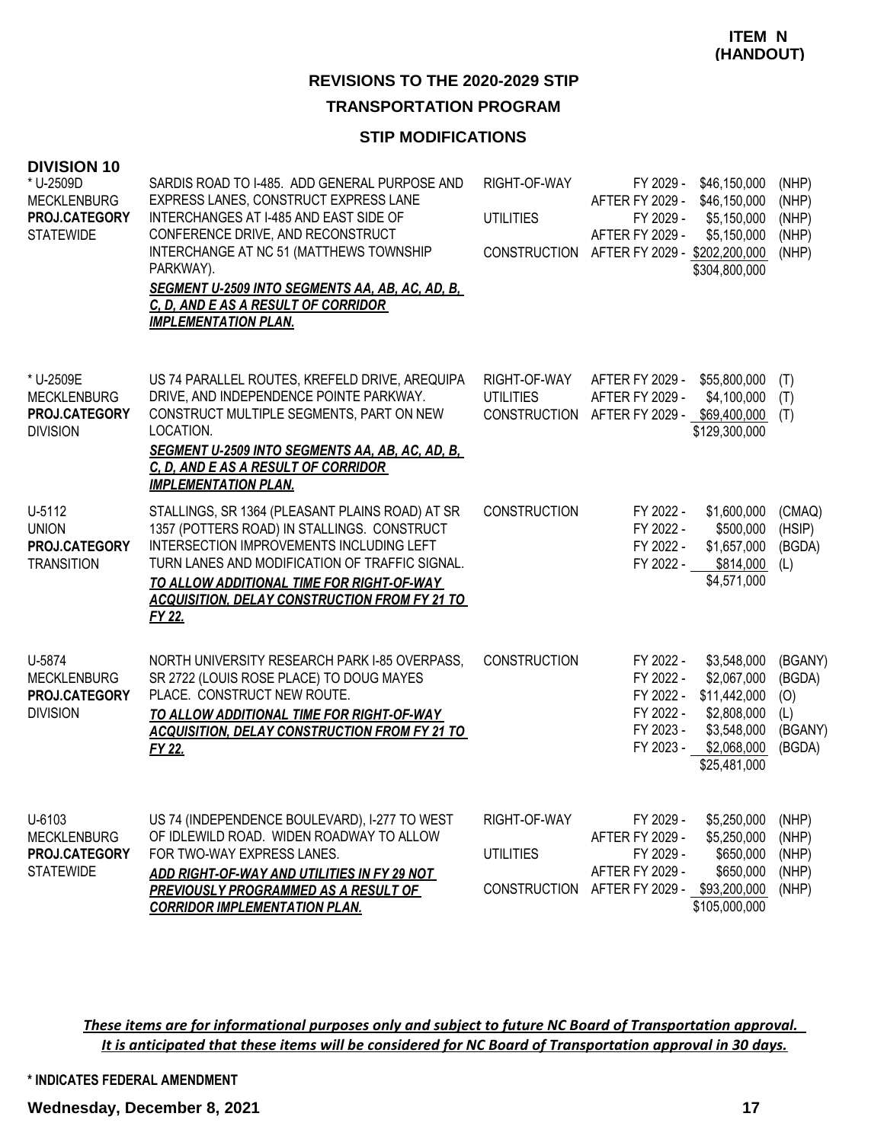# **REVISIONS TO THE 2020-2029 STIP**

## **TRANSPORTATION PROGRAM**

### **STIP MODIFICATIONS**

| <b>DIVISION 10</b><br>* U-2509D<br><b>MECKLENBURG</b><br>PROJ.CATEGORY<br><b>STATEWIDE</b> | SARDIS ROAD TO I-485. ADD GENERAL PURPOSE AND<br>EXPRESS LANES, CONSTRUCT EXPRESS LANE<br>INTERCHANGES AT I-485 AND EAST SIDE OF<br>CONFERENCE DRIVE, AND RECONSTRUCT<br>INTERCHANGE AT NC 51 (MATTHEWS TOWNSHIP<br>PARKWAY).<br><b>SEGMENT U-2509 INTO SEGMENTS AA, AB, AC, AD, B,</b><br>C. D. AND E AS A RESULT OF CORRIDOR<br><b>IMPLEMENTATION PLAN.</b> | RIGHT-OF-WAY<br><b>UTILITIES</b><br>CONSTRUCTION        | FY 2029 -<br>AFTER FY 2029 -<br>FY 2029 -<br><b>AFTER FY 2029 -</b><br>AFTER FY 2029 - \$202,200,000 | \$46,150,000<br>\$46,150,000<br>\$5,150,000<br>\$5,150,000<br>\$304,800,000                             | (NHP)<br>(NHP)<br>(NHP)<br>(NHP)<br>(NHP)            |
|--------------------------------------------------------------------------------------------|---------------------------------------------------------------------------------------------------------------------------------------------------------------------------------------------------------------------------------------------------------------------------------------------------------------------------------------------------------------|---------------------------------------------------------|------------------------------------------------------------------------------------------------------|---------------------------------------------------------------------------------------------------------|------------------------------------------------------|
| * U-2509E<br><b>MECKLENBURG</b><br>PROJ.CATEGORY<br><b>DIVISION</b>                        | US 74 PARALLEL ROUTES, KREFELD DRIVE, AREQUIPA<br>DRIVE, AND INDEPENDENCE POINTE PARKWAY.<br>CONSTRUCT MULTIPLE SEGMENTS, PART ON NEW<br>LOCATION.<br>SEGMENT U-2509 INTO SEGMENTS AA, AB, AC, AD, B,<br>C. D. AND E AS A RESULT OF CORRIDOR<br><b>IMPLEMENTATION PLAN.</b>                                                                                   | RIGHT-OF-WAY<br><b>UTILITIES</b><br><b>CONSTRUCTION</b> | AFTER FY 2029 -<br><b>AFTER FY 2029 -</b><br>AFTER FY 2029 -                                         | \$55,800,000<br>\$4,100,000<br>\$69,400,000<br>\$129,300,000                                            | (T)<br>(T)<br>(T)                                    |
| U-5112<br><b>UNION</b><br>PROJ.CATEGORY<br><b>TRANSITION</b>                               | STALLINGS, SR 1364 (PLEASANT PLAINS ROAD) AT SR<br>1357 (POTTERS ROAD) IN STALLINGS. CONSTRUCT<br>INTERSECTION IMPROVEMENTS INCLUDING LEFT<br>TURN LANES AND MODIFICATION OF TRAFFIC SIGNAL.<br>TO ALLOW ADDITIONAL TIME FOR RIGHT-OF-WAY<br><b>ACQUISITION, DELAY CONSTRUCTION FROM FY 21 TO</b><br>FY 22.                                                   | <b>CONSTRUCTION</b>                                     | FY 2022 -<br>FY 2022 -<br>FY 2022 -<br>FY 2022 -                                                     | \$1,600,000<br>\$500,000<br>\$1,657,000<br>\$814,000<br>\$4,571,000                                     | (CMAQ)<br>(HSIP)<br>(BGDA)<br>(L)                    |
| U-5874<br><b>MECKLENBURG</b><br>PROJ.CATEGORY<br><b>DIVISION</b>                           | NORTH UNIVERSITY RESEARCH PARK I-85 OVERPASS,<br>SR 2722 (LOUIS ROSE PLACE) TO DOUG MAYES<br>PLACE. CONSTRUCT NEW ROUTE.<br>TO ALLOW ADDITIONAL TIME FOR RIGHT-OF-WAY<br><b>ACQUISITION, DELAY CONSTRUCTION FROM FY 21 TO</b><br>FY 22.                                                                                                                       | <b>CONSTRUCTION</b>                                     | FY 2022 -<br>FY 2022 -<br>FY 2022 -<br>FY 2022 -<br>FY 2023 -<br>FY 2023 -                           | \$3,548,000<br>\$2,067,000<br>\$11,442,000<br>\$2,808,000<br>\$3,548,000<br>\$2,068,000<br>\$25,481,000 | (BGANY)<br>(BGDA)<br>(O)<br>(L)<br>(BGANY)<br>(BGDA) |
| U-6103<br><b>MECKLENBURG</b><br>PROJ.CATEGORY<br><b>STATEWIDE</b>                          | US 74 (INDEPENDENCE BOULEVARD), I-277 TO WEST<br>OF IDLEWILD ROAD. WIDEN ROADWAY TO ALLOW<br>FOR TWO-WAY EXPRESS LANES.<br>ADD RIGHT-OF-WAY AND UTILITIES IN FY 29 NOT<br>PREVIOUSLY PROGRAMMED AS A RESULT OF<br><b>CORRIDOR IMPLEMENTATION PLAN.</b>                                                                                                        | RIGHT-OF-WAY<br><b>UTILITIES</b><br><b>CONSTRUCTION</b> | FY 2029 -<br>AFTER FY 2029 -<br>FY 2029 -<br><b>AFTER FY 2029 -</b><br>AFTER FY 2029 -               | \$5,250,000<br>\$5,250,000<br>\$650,000<br>\$650,000<br>\$93,200,000<br>\$105,000,000                   | (NHP)<br>(NHP)<br>(NHP)<br>(NHP)<br>(NHP)            |

*These items are for informational purposes only and subject to future NC Board of Transportation approval. It is anticipated that these items will be considered for NC Board of Transportation approval in 30 days.*

**\* INDICATES FEDERAL AMENDMENT**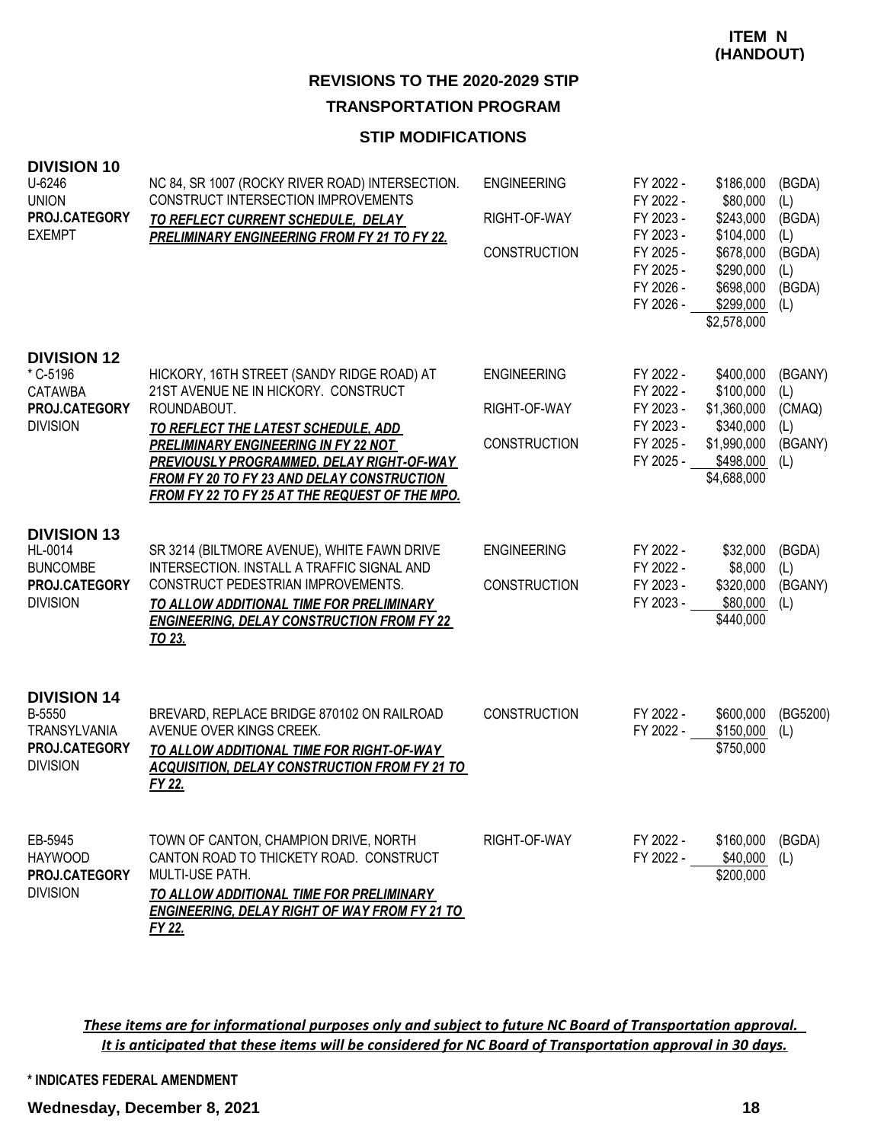#### **STIP MODIFICATIONS**

| <b>DIVISION 10</b><br>U-6246<br><b>UNION</b><br>PROJ.CATEGORY<br><b>EXEMPT</b>          | NC 84, SR 1007 (ROCKY RIVER ROAD) INTERSECTION.<br>CONSTRUCT INTERSECTION IMPROVEMENTS<br>TO REFLECT CURRENT SCHEDULE, DELAY<br>PRELIMINARY ENGINEERING FROM FY 21 TO FY 22.                                                                                                                                                         | <b>ENGINEERING</b><br>RIGHT-OF-WAY<br><b>CONSTRUCTION</b> | FY 2022 -<br>FY 2022 -<br>FY 2023 -<br>FY 2023 -<br>FY 2025 -<br>FY 2025 -<br>FY 2026 -<br>FY 2026 - | \$186,000<br>\$80,000<br>\$243,000<br>\$104,000<br>\$678,000<br>\$290,000<br>\$698,000<br>\$299,000<br>\$2,578,000 | (BGDA)<br>(L)<br>(BGDA)<br>(L)<br>(BGDA)<br>(L)<br>(BGDA)<br>(L) |
|-----------------------------------------------------------------------------------------|--------------------------------------------------------------------------------------------------------------------------------------------------------------------------------------------------------------------------------------------------------------------------------------------------------------------------------------|-----------------------------------------------------------|------------------------------------------------------------------------------------------------------|--------------------------------------------------------------------------------------------------------------------|------------------------------------------------------------------|
| <b>DIVISION 12</b><br>* C-5196<br><b>CATAWBA</b><br>PROJ.CATEGORY<br><b>DIVISION</b>    | HICKORY, 16TH STREET (SANDY RIDGE ROAD) AT<br>21ST AVENUE NE IN HICKORY. CONSTRUCT<br>ROUNDABOUT.<br>TO REFLECT THE LATEST SCHEDULE, ADD<br><b>PRELIMINARY ENGINEERING IN FY 22 NOT</b><br>PREVIOUSLY PROGRAMMED, DELAY RIGHT-OF-WAY<br>FROM FY 20 TO FY 23 AND DELAY CONSTRUCTION<br>FROM FY 22 TO FY 25 AT THE REQUEST OF THE MPO. | <b>ENGINEERING</b><br>RIGHT-OF-WAY<br><b>CONSTRUCTION</b> | FY 2022 -<br>FY 2022 -<br>FY 2023 -<br>FY 2023 -<br>FY 2025 -<br>FY 2025 -                           | \$400,000<br>\$100,000<br>\$1,360,000<br>\$340,000<br>\$1,990,000<br>\$498,000<br>\$4,688,000                      | (BGANY)<br>(L)<br>(CMAQ)<br>(L)<br>(BGANY)<br>(L)                |
| <b>DIVISION 13</b><br>HL-0014<br><b>BUNCOMBE</b><br>PROJ.CATEGORY<br><b>DIVISION</b>    | SR 3214 (BILTMORE AVENUE), WHITE FAWN DRIVE<br>INTERSECTION. INSTALL A TRAFFIC SIGNAL AND<br>CONSTRUCT PEDESTRIAN IMPROVEMENTS.<br>TO ALLOW ADDITIONAL TIME FOR PRELIMINARY<br><b>ENGINEERING, DELAY CONSTRUCTION FROM FY 22</b><br>TO 23.                                                                                           | <b>ENGINEERING</b><br><b>CONSTRUCTION</b>                 | FY 2022 -<br>FY 2022 -<br>FY 2023 -<br>FY 2023 -                                                     | \$32,000<br>\$8,000<br>\$320,000<br>\$80,000<br>\$440,000                                                          | (BGDA)<br>(L)<br>(BGANY)<br>(L)                                  |
| <b>DIVISION 14</b><br>B-5550<br><b>TRANSYLVANIA</b><br>PROJ.CATEGORY<br><b>DIVISION</b> | BREVARD, REPLACE BRIDGE 870102 ON RAILROAD<br>AVENUE OVER KINGS CREEK.<br>TO ALLOW ADDITIONAL TIME FOR RIGHT-OF-WAY<br><b>ACQUISITION, DELAY CONSTRUCTION FROM FY 21 TO</b><br>FY 22.                                                                                                                                                | <b>CONSTRUCTION</b>                                       | FY 2022 -<br>FY 2022 -                                                                               | \$600,000<br>\$150,000<br>\$750,000                                                                                | (BG5200)<br>(L)                                                  |
| EB-5945<br><b>HAYWOOD</b><br><b>PROJ.CATEGORY</b><br><b>DIVISION</b>                    | TOWN OF CANTON, CHAMPION DRIVE, NORTH<br>CANTON ROAD TO THICKETY ROAD. CONSTRUCT<br>MULTI-USE PATH.<br>TO ALLOW ADDITIONAL TIME FOR PRELIMINARY<br><b>ENGINEERING, DELAY RIGHT OF WAY FROM FY 21 TO</b><br>FY 22.                                                                                                                    | RIGHT-OF-WAY                                              | FY 2022 -<br>FY 2022 - \$40,000                                                                      | \$160,000<br>\$200,000                                                                                             | (BGDA)<br>(L)                                                    |

*These items are for informational purposes only and subject to future NC Board of Transportation approval. It is anticipated that these items will be considered for NC Board of Transportation approval in 30 days.*

**\* INDICATES FEDERAL AMENDMENT**